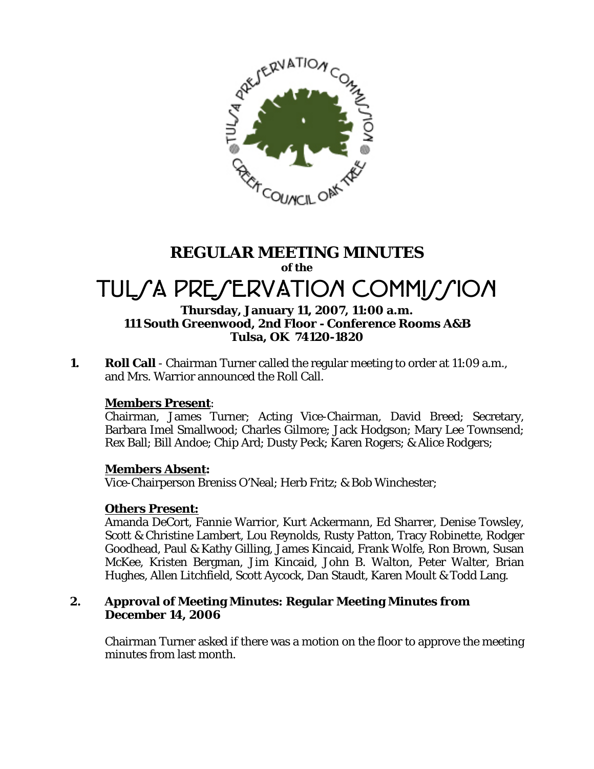

# **REGULAR MEETING MINUTES of the**  TUL*SA PRESERVATION COMMISSION*

# **Thursday, January 11, 2007, 11:00 a.m. 111 South Greenwood, 2nd Floor - Conference Rooms A&B Tulsa, OK 74120-1820**

**1.** Roll Call - Chairman Turner called the regular meeting to order at 11:09 a.m., and Mrs. Warrior announced the Roll Call.

# **Members Present**:

Chairman, James Turner; Acting Vice-Chairman, David Breed; Secretary, Barbara Imel Smallwood; Charles Gilmore; Jack Hodgson; Mary Lee Townsend; Rex Ball; Bill Andoe; Chip Ard; Dusty Peck; Karen Rogers; & Alice Rodgers;

#### **Members Absent:**

Vice-Chairperson Breniss O'Neal; Herb Fritz; & Bob Winchester;

# **Others Present:**

Amanda DeCort, Fannie Warrior, Kurt Ackermann, Ed Sharrer, Denise Towsley, Scott & Christine Lambert, Lou Reynolds, Rusty Patton, Tracy Robinette, Rodger Goodhead, Paul & Kathy Gilling, James Kincaid, Frank Wolfe, Ron Brown, Susan McKee, Kristen Bergman, Jim Kincaid, John B. Walton, Peter Walter, Brian Hughes, Allen Litchfield, Scott Aycock, Dan Staudt, Karen Moult & Todd Lang.

#### **2. Approval of Meeting Minutes: Regular Meeting Minutes from December 14, 2006**

Chairman Turner asked if there was a motion on the floor to approve the meeting minutes from last month.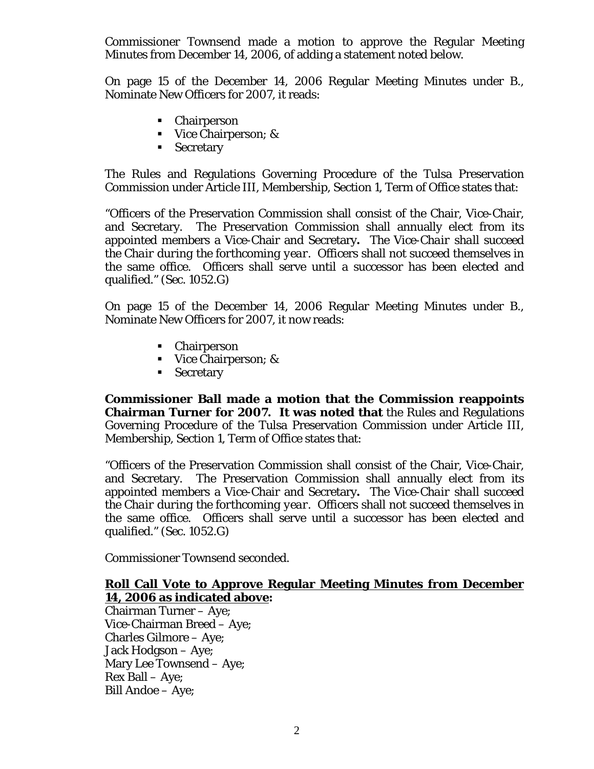Commissioner Townsend made a motion to approve the Regular Meeting Minutes from December 14, 2006, of adding a statement noted below.

On page 15 of the December 14, 2006 Regular Meeting Minutes under B., Nominate New Officers for 2007, it reads:

- Chairperson
- Vice Chairperson; &
- **Secretary**

The Rules and Regulations Governing Procedure of the Tulsa Preservation Commission under Article III, Membership, Section 1, Term of Office states that:

"Officers of the Preservation Commission shall consist of the Chair, Vice-Chair, and Secretary. The Preservation Commission shall annually elect from its appointed members a Vice-Chair and Secretary**.** *The Vice-Chair shall succeed the Chair during the forthcoming year.* Officers shall not succeed themselves in the same office. Officers shall serve until a successor has been elected and qualified." *(Sec. 1052.G)* 

On page 15 of the December 14, 2006 Regular Meeting Minutes under B., Nominate New Officers for 2007, it now reads:

- Chairperson
- Vice Chairperson; &
- **Secretary**

**Commissioner Ball made a motion that the Commission reappoints Chairman Turner for 2007. It was noted that** the Rules and Regulations Governing Procedure of the Tulsa Preservation Commission under Article III, Membership, Section 1, Term of Office states that:

"Officers of the Preservation Commission shall consist of the Chair, Vice-Chair, and Secretary. The Preservation Commission shall annually elect from its appointed members a Vice-Chair and Secretary**.** *The Vice-Chair shall succeed the Chair during the forthcoming year.* Officers shall not succeed themselves in the same office. Officers shall serve until a successor has been elected and qualified." *(Sec. 1052.G)* 

Commissioner Townsend seconded.

# **Roll Call Vote to Approve Regular Meeting Minutes from December 14, 2006 as indicated above:**

Chairman Turner – Aye; Vice-Chairman Breed – Aye; Charles Gilmore – Aye; Jack Hodgson – Aye; Mary Lee Townsend – Aye; Rex Ball – Aye; Bill Andoe – Aye;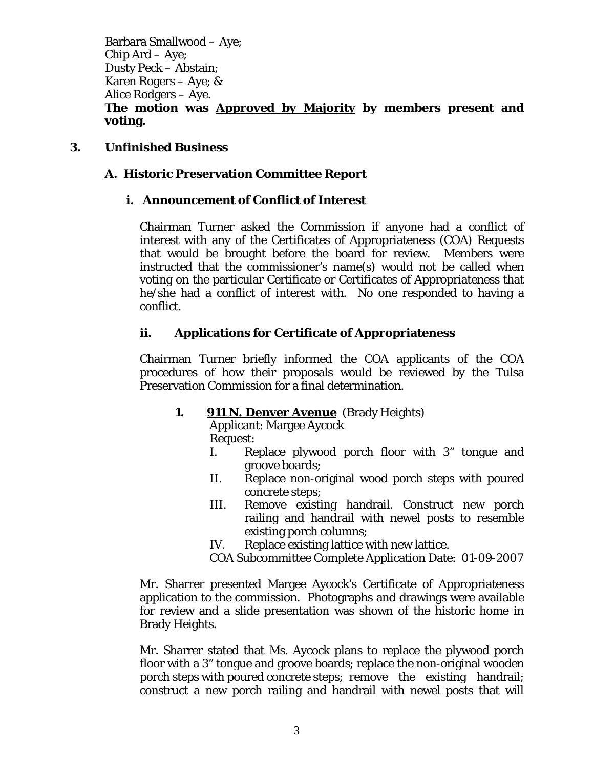Barbara Smallwood – Aye; Chip Ard – Aye; Dusty Peck – Abstain; Karen Rogers – Aye; & Alice Rodgers – Aye. **The motion was Approved by Majority by members present and voting.** 

# **3. Unfinished Business**

# **A. Historic Preservation Committee Report**

# **i. Announcement of Conflict of Interest**

Chairman Turner asked the Commission if anyone had a conflict of interest with any of the Certificates of Appropriateness (COA) Requests that would be brought before the board for review. Members were instructed that the commissioner's name(s) would not be called when voting on the particular Certificate or Certificates of Appropriateness that he/she had a conflict of interest with. No one responded to having a conflict.

# **ii. Applications for Certificate of Appropriateness**

Chairman Turner briefly informed the COA applicants of the COA procedures of how their proposals would be reviewed by the Tulsa Preservation Commission for a final determination.

# **1. 911 N. Denver Avenue** (Brady Heights)

Applicant: Margee Aycock Request:

- I. Replace plywood porch floor with 3" tongue and groove boards;
- II. Replace non-original wood porch steps with poured concrete steps;
- III. Remove existing handrail. Construct new porch railing and handrail with newel posts to resemble existing porch columns;
- IV. Replace existing lattice with new lattice.
- COA Subcommittee Complete Application Date: 01-09-2007

Mr. Sharrer presented Margee Aycock's Certificate of Appropriateness application to the commission. Photographs and drawings were available for review and a slide presentation was shown of the historic home in Brady Heights.

Mr. Sharrer stated that Ms. Aycock plans to replace the plywood porch floor with a 3" tongue and groove boards; replace the non-original wooden porch steps with poured concrete steps; remove the existing handrail; construct a new porch railing and handrail with newel posts that will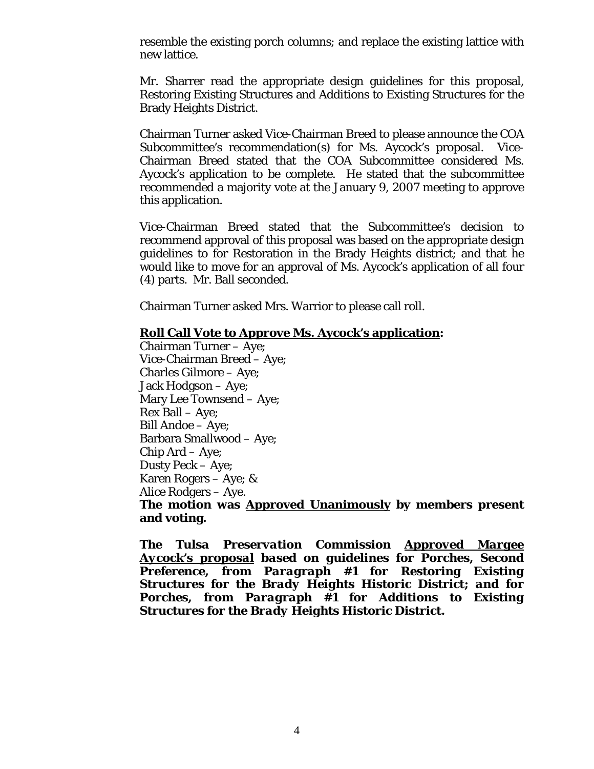resemble the existing porch columns; and replace the existing lattice with new lattice.

Mr. Sharrer read the appropriate design guidelines for this proposal, Restoring Existing Structures and Additions to Existing Structures for the Brady Heights District.

Chairman Turner asked Vice-Chairman Breed to please announce the COA Subcommittee's recommendation(s) for Ms. Aycock's proposal. Vice-Chairman Breed stated that the COA Subcommittee considered Ms. Aycock's application to be complete. He stated that the subcommittee recommended a majority vote at the January 9, 2007 meeting to approve this application.

Vice-Chairman Breed stated that the Subcommittee's decision to recommend approval of this proposal was based on the appropriate design guidelines to for Restoration in the Brady Heights district; and that he would like to move for an approval of Ms. Aycock's application of all four (4) parts. Mr. Ball seconded.

Chairman Turner asked Mrs. Warrior to please call roll.

# **Roll Call Vote to Approve Ms. Aycock's application:**

Chairman Turner – Aye; Vice-Chairman Breed – Aye; Charles Gilmore – Aye; Jack Hodgson – Aye; Mary Lee Townsend – Aye; Rex Ball – Aye; Bill Andoe – Aye; Barbara Smallwood – Aye; Chip Ard – Aye; Dusty Peck – Aye; Karen Rogers – Aye; & Alice Rodgers – Aye.

**The motion was Approved Unanimously by members present and voting.** 

*The Tulsa Preservation Commission Approved Margee Aycock's proposal based on guidelines for Porches, Second Preference, from Paragraph #1 for Restoring Existing Structures for the Brady Heights Historic District; and for Porches, from Paragraph #1 for Additions to Existing Structures for the Brady Heights Historic District.*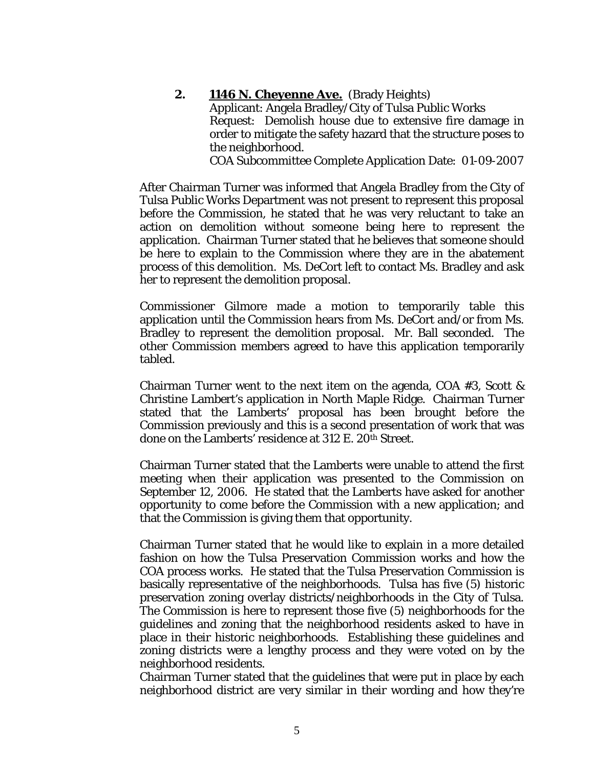# **2. 1146 N. Cheyenne Ave.** (Brady Heights)

Applicant: Angela Bradley/City of Tulsa Public Works Request: Demolish house due to extensive fire damage in order to mitigate the safety hazard that the structure poses to the neighborhood.

COA Subcommittee Complete Application Date: 01-09-2007

After Chairman Turner was informed that Angela Bradley from the City of Tulsa Public Works Department was not present to represent this proposal before the Commission, he stated that he was very reluctant to take an action on demolition without someone being here to represent the application. Chairman Turner stated that he believes that someone should be here to explain to the Commission where they are in the abatement process of this demolition. Ms. DeCort left to contact Ms. Bradley and ask her to represent the demolition proposal.

Commissioner Gilmore made a motion to temporarily table this application until the Commission hears from Ms. DeCort and/or from Ms. Bradley to represent the demolition proposal. Mr. Ball seconded. The other Commission members agreed to have this application temporarily tabled.

Chairman Turner went to the next item on the agenda, COA #3, Scott & Christine Lambert's application in North Maple Ridge. Chairman Turner stated that the Lamberts' proposal has been brought before the Commission previously and this is a second presentation of work that was done on the Lamberts' residence at 312 E. 20<sup>th</sup> Street.

Chairman Turner stated that the Lamberts were unable to attend the first meeting when their application was presented to the Commission on September 12, 2006. He stated that the Lamberts have asked for another opportunity to come before the Commission with a new application; and that the Commission is giving them that opportunity.

Chairman Turner stated that he would like to explain in a more detailed fashion on how the Tulsa Preservation Commission works and how the COA process works. He stated that the Tulsa Preservation Commission is basically representative of the neighborhoods. Tulsa has five (5) historic preservation zoning overlay districts/neighborhoods in the City of Tulsa. The Commission is here to represent those five (5) neighborhoods for the guidelines and zoning that the neighborhood residents asked to have in place in their historic neighborhoods. Establishing these guidelines and zoning districts were a lengthy process and they were voted on by the neighborhood residents.

Chairman Turner stated that the guidelines that were put in place by each neighborhood district are very similar in their wording and how they're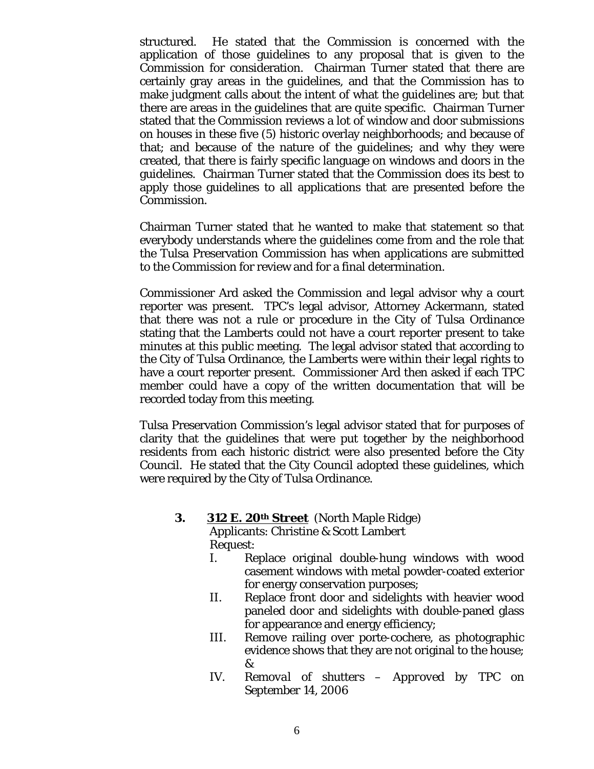structured. He stated that the Commission is concerned with the application of those guidelines to any proposal that is given to the Commission for consideration. Chairman Turner stated that there are certainly gray areas in the guidelines, and that the Commission has to make judgment calls about the intent of what the guidelines are; but that there are areas in the guidelines that are quite specific. Chairman Turner stated that the Commission reviews a lot of window and door submissions on houses in these five (5) historic overlay neighborhoods; and because of that; and because of the nature of the guidelines; and why they were created, that there is fairly specific language on windows and doors in the guidelines. Chairman Turner stated that the Commission does its best to apply those guidelines to all applications that are presented before the Commission.

Chairman Turner stated that he wanted to make that statement so that everybody understands where the guidelines come from and the role that the Tulsa Preservation Commission has when applications are submitted to the Commission for review and for a final determination.

Commissioner Ard asked the Commission and legal advisor why a court reporter was present. TPC's legal advisor, Attorney Ackermann, stated that there was not a rule or procedure in the City of Tulsa Ordinance stating that the Lamberts could not have a court reporter present to take minutes at this public meeting. The legal advisor stated that according to the City of Tulsa Ordinance, the Lamberts were within their legal rights to have a court reporter present. Commissioner Ard then asked if each TPC member could have a copy of the written documentation that will be recorded today from this meeting.

Tulsa Preservation Commission's legal advisor stated that for purposes of clarity that the guidelines that were put together by the neighborhood residents from each historic district were also presented before the City Council. He stated that the City Council adopted these guidelines, which were required by the City of Tulsa Ordinance.

# **3. 312 E. 20th Street** (North Maple Ridge)

Applicants: Christine & Scott Lambert Request:

- I. Replace original double-hung windows with wood casement windows with metal powder-coated exterior for energy conservation purposes;
- II. Replace front door and sidelights with heavier wood paneled door and sidelights with double-paned glass for appearance and energy efficiency;
- III. Remove railing over porte-cochere, as photographic evidence shows that they are not original to the house; &
- *IV. Removal of shutters Approved by TPC on September 14, 2006*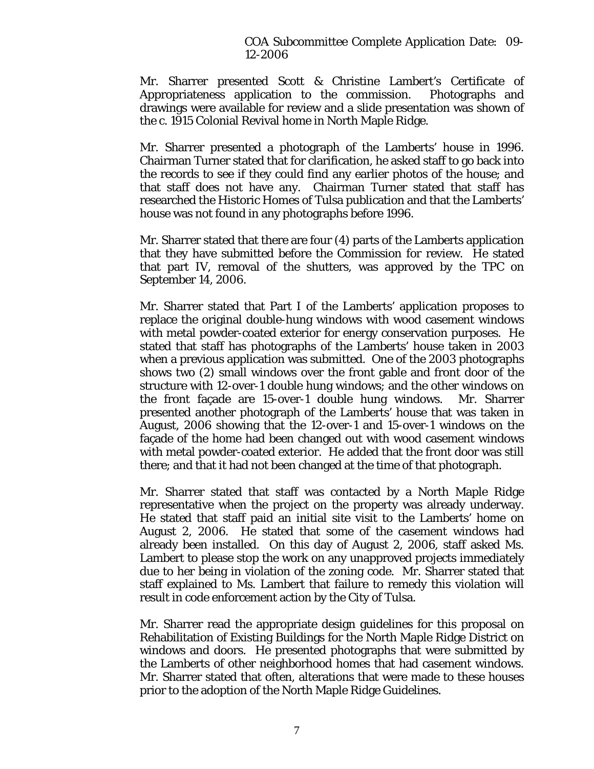COA Subcommittee Complete Application Date: 09- 12-2006

Mr. Sharrer presented Scott & Christine Lambert's Certificate of Appropriateness application to the commission. Photographs and drawings were available for review and a slide presentation was shown of the c. 1915 Colonial Revival home in North Maple Ridge.

Mr. Sharrer presented a photograph of the Lamberts' house in 1996. Chairman Turner stated that for clarification, he asked staff to go back into the records to see if they could find any earlier photos of the house; and that staff does not have any. Chairman Turner stated that staff has researched the Historic Homes of Tulsa publication and that the Lamberts' house was not found in any photographs before 1996.

Mr. Sharrer stated that there are four (4) parts of the Lamberts application that they have submitted before the Commission for review. He stated that part IV, removal of the shutters, was approved by the TPC on September 14, 2006.

Mr. Sharrer stated that Part I of the Lamberts' application proposes to replace the original double-hung windows with wood casement windows with metal powder-coated exterior for energy conservation purposes. He stated that staff has photographs of the Lamberts' house taken in 2003 when a previous application was submitted. One of the 2003 photographs shows two (2) small windows over the front gable and front door of the structure with 12-over-1 double hung windows; and the other windows on the front façade are 15-over-1 double hung windows. Mr. Sharrer presented another photograph of the Lamberts' house that was taken in August, 2006 showing that the 12-over-1 and 15-over-1 windows on the façade of the home had been changed out with wood casement windows with metal powder-coated exterior. He added that the front door was still there; and that it had not been changed at the time of that photograph.

Mr. Sharrer stated that staff was contacted by a North Maple Ridge representative when the project on the property was already underway. He stated that staff paid an initial site visit to the Lamberts' home on August 2, 2006. He stated that some of the casement windows had already been installed. On this day of August 2, 2006, staff asked Ms. Lambert to please stop the work on any unapproved projects immediately due to her being in violation of the zoning code. Mr. Sharrer stated that staff explained to Ms. Lambert that failure to remedy this violation will result in code enforcement action by the City of Tulsa.

Mr. Sharrer read the appropriate design guidelines for this proposal on Rehabilitation of Existing Buildings for the North Maple Ridge District on windows and doors. He presented photographs that were submitted by the Lamberts of other neighborhood homes that had casement windows. Mr. Sharrer stated that often, alterations that were made to these houses prior to the adoption of the North Maple Ridge Guidelines.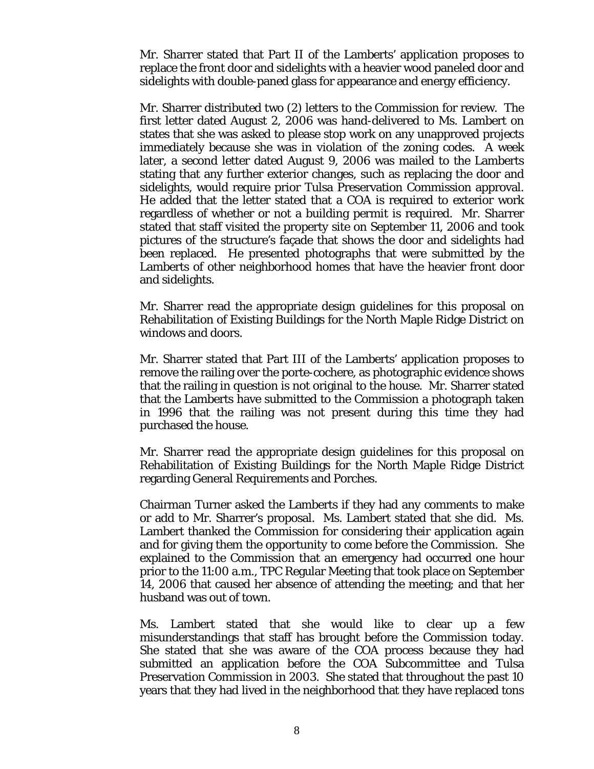Mr. Sharrer stated that Part II of the Lamberts' application proposes to replace the front door and sidelights with a heavier wood paneled door and sidelights with double-paned glass for appearance and energy efficiency.

Mr. Sharrer distributed two (2) letters to the Commission for review. The first letter dated August 2, 2006 was hand-delivered to Ms. Lambert on states that she was asked to please stop work on any unapproved projects immediately because she was in violation of the zoning codes. A week later, a second letter dated August 9, 2006 was mailed to the Lamberts stating that any further exterior changes, such as replacing the door and sidelights, would require prior Tulsa Preservation Commission approval. He added that the letter stated that a COA is required to exterior work regardless of whether or not a building permit is required. Mr. Sharrer stated that staff visited the property site on September 11, 2006 and took pictures of the structure's façade that shows the door and sidelights had been replaced. He presented photographs that were submitted by the Lamberts of other neighborhood homes that have the heavier front door and sidelights.

Mr. Sharrer read the appropriate design guidelines for this proposal on Rehabilitation of Existing Buildings for the North Maple Ridge District on windows and doors.

Mr. Sharrer stated that Part III of the Lamberts' application proposes to remove the railing over the porte-cochere, as photographic evidence shows that the railing in question is not original to the house. Mr. Sharrer stated that the Lamberts have submitted to the Commission a photograph taken in 1996 that the railing was not present during this time they had purchased the house.

Mr. Sharrer read the appropriate design guidelines for this proposal on Rehabilitation of Existing Buildings for the North Maple Ridge District regarding General Requirements and Porches.

Chairman Turner asked the Lamberts if they had any comments to make or add to Mr. Sharrer's proposal. Ms. Lambert stated that she did. Ms. Lambert thanked the Commission for considering their application again and for giving them the opportunity to come before the Commission. She explained to the Commission that an emergency had occurred one hour prior to the 11:00 a.m., TPC Regular Meeting that took place on September 14, 2006 that caused her absence of attending the meeting; and that her husband was out of town.

Ms. Lambert stated that she would like to clear up a few misunderstandings that staff has brought before the Commission today. She stated that she was aware of the COA process because they had submitted an application before the COA Subcommittee and Tulsa Preservation Commission in 2003. She stated that throughout the past 10 years that they had lived in the neighborhood that they have replaced tons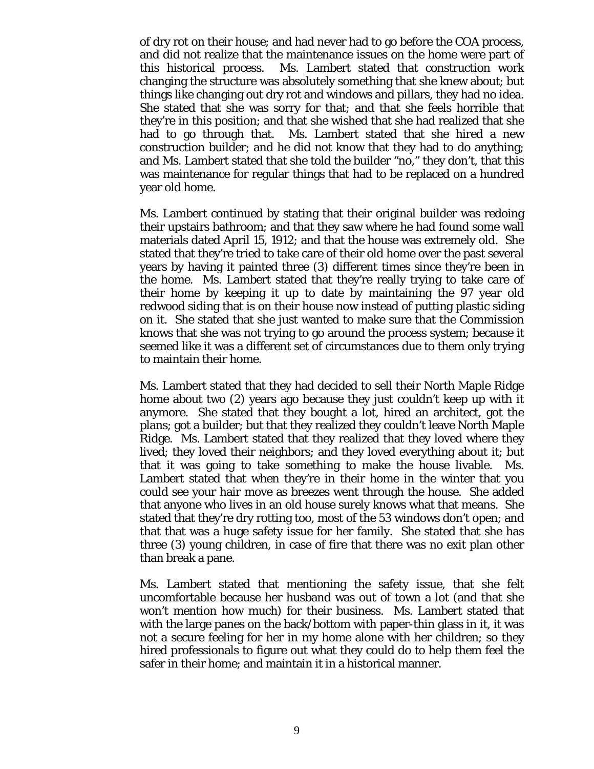of dry rot on their house; and had never had to go before the COA process, and did not realize that the maintenance issues on the home were part of this historical process. Ms. Lambert stated that construction work changing the structure was absolutely something that she knew about; but things like changing out dry rot and windows and pillars, they had no idea. She stated that she was sorry for that; and that she feels horrible that they're in this position; and that she wished that she had realized that she had to go through that. Ms. Lambert stated that she hired a new construction builder; and he did not know that they had to do anything; and Ms. Lambert stated that she told the builder "no," they don't, that this was maintenance for regular things that had to be replaced on a hundred year old home.

Ms. Lambert continued by stating that their original builder was redoing their upstairs bathroom; and that they saw where he had found some wall materials dated April 15, 1912; and that the house was extremely old. She stated that they're tried to take care of their old home over the past several years by having it painted three (3) different times since they're been in the home. Ms. Lambert stated that they're really trying to take care of their home by keeping it up to date by maintaining the 97 year old redwood siding that is on their house now instead of putting plastic siding on it. She stated that she just wanted to make sure that the Commission knows that she was not trying to go around the process system; because it seemed like it was a different set of circumstances due to them only trying to maintain their home.

Ms. Lambert stated that they had decided to sell their North Maple Ridge home about two (2) years ago because they just couldn't keep up with it anymore. She stated that they bought a lot, hired an architect, got the plans; got a builder; but that they realized they couldn't leave North Maple Ridge. Ms. Lambert stated that they realized that they loved where they lived; they loved their neighbors; and they loved everything about it; but that it was going to take something to make the house livable. Ms. Lambert stated that when they're in their home in the winter that you could see your hair move as breezes went through the house. She added that anyone who lives in an old house surely knows what that means. She stated that they're dry rotting too, most of the 53 windows don't open; and that that was a huge safety issue for her family. She stated that she has three (3) young children, in case of fire that there was no exit plan other than break a pane.

Ms. Lambert stated that mentioning the safety issue, that she felt uncomfortable because her husband was out of town a lot (and that she won't mention how much) for their business. Ms. Lambert stated that with the large panes on the back/bottom with paper-thin glass in it, it was not a secure feeling for her in my home alone with her children; so they hired professionals to figure out what they could do to help them feel the safer in their home; and maintain it in a historical manner.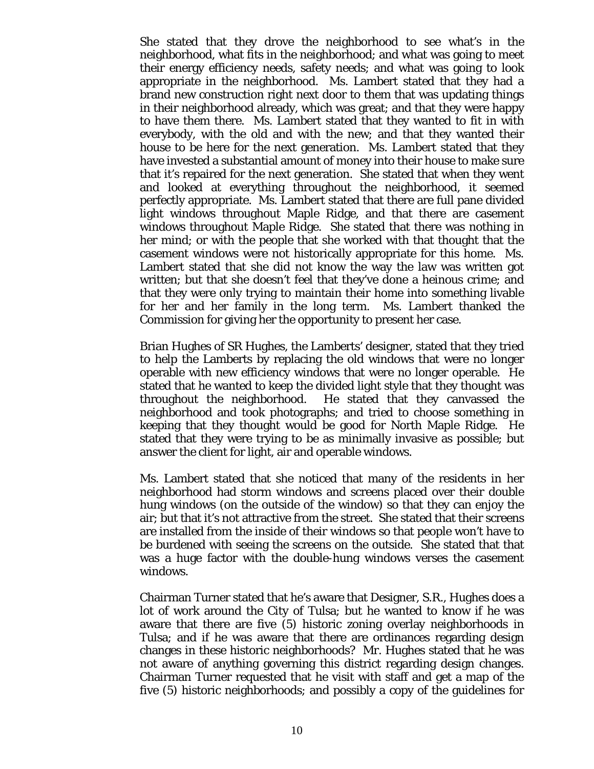She stated that they drove the neighborhood to see what's in the neighborhood, what fits in the neighborhood; and what was going to meet their energy efficiency needs, safety needs; and what was going to look appropriate in the neighborhood. Ms. Lambert stated that they had a brand new construction right next door to them that was updating things in their neighborhood already, which was great; and that they were happy to have them there. Ms. Lambert stated that they wanted to fit in with everybody, with the old and with the new; and that they wanted their house to be here for the next generation. Ms. Lambert stated that they have invested a substantial amount of money into their house to make sure that it's repaired for the next generation. She stated that when they went and looked at everything throughout the neighborhood, it seemed perfectly appropriate. Ms. Lambert stated that there are full pane divided light windows throughout Maple Ridge, and that there are casement windows throughout Maple Ridge. She stated that there was nothing in her mind; or with the people that she worked with that thought that the casement windows were not historically appropriate for this home. Ms. Lambert stated that she did not know the way the law was written got written; but that she doesn't feel that they've done a heinous crime; and that they were only trying to maintain their home into something livable for her and her family in the long term. Ms. Lambert thanked the Commission for giving her the opportunity to present her case.

Brian Hughes of SR Hughes, the Lamberts' designer, stated that they tried to help the Lamberts by replacing the old windows that were no longer operable with new efficiency windows that were no longer operable. He stated that he wanted to keep the divided light style that they thought was throughout the neighborhood. He stated that they canvassed the neighborhood and took photographs; and tried to choose something in keeping that they thought would be good for North Maple Ridge. He stated that they were trying to be as minimally invasive as possible; but answer the client for light, air and operable windows.

Ms. Lambert stated that she noticed that many of the residents in her neighborhood had storm windows and screens placed over their double hung windows (on the outside of the window) so that they can enjoy the air; but that it's not attractive from the street. She stated that their screens are installed from the inside of their windows so that people won't have to be burdened with seeing the screens on the outside. She stated that that was a huge factor with the double-hung windows verses the casement windows.

Chairman Turner stated that he's aware that Designer, S.R., Hughes does a lot of work around the City of Tulsa; but he wanted to know if he was aware that there are five (5) historic zoning overlay neighborhoods in Tulsa; and if he was aware that there are ordinances regarding design changes in these historic neighborhoods? Mr. Hughes stated that he was not aware of anything governing this district regarding design changes. Chairman Turner requested that he visit with staff and get a map of the five (5) historic neighborhoods; and possibly a copy of the guidelines for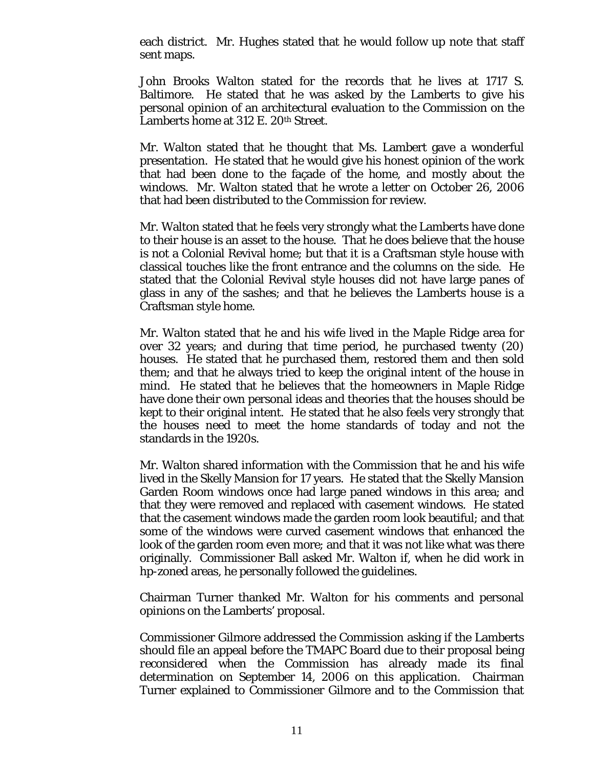each district. Mr. Hughes stated that he would follow up note that staff sent maps.

John Brooks Walton stated for the records that he lives at 1717 S. Baltimore. He stated that he was asked by the Lamberts to give his personal opinion of an architectural evaluation to the Commission on the Lamberts home at 312 E. 20<sup>th</sup> Street.

Mr. Walton stated that he thought that Ms. Lambert gave a wonderful presentation. He stated that he would give his honest opinion of the work that had been done to the façade of the home, and mostly about the windows. Mr. Walton stated that he wrote a letter on October 26, 2006 that had been distributed to the Commission for review.

Mr. Walton stated that he feels very strongly what the Lamberts have done to their house is an asset to the house. That he does believe that the house is not a Colonial Revival home; but that it is a Craftsman style house with classical touches like the front entrance and the columns on the side. He stated that the Colonial Revival style houses did not have large panes of glass in any of the sashes; and that he believes the Lamberts house is a Craftsman style home.

Mr. Walton stated that he and his wife lived in the Maple Ridge area for over 32 years; and during that time period, he purchased twenty (20) houses. He stated that he purchased them, restored them and then sold them; and that he always tried to keep the original intent of the house in mind. He stated that he believes that the homeowners in Maple Ridge have done their own personal ideas and theories that the houses should be kept to their original intent. He stated that he also feels very strongly that the houses need to meet the home standards of today and not the standards in the 1920s.

Mr. Walton shared information with the Commission that he and his wife lived in the Skelly Mansion for 17 years. He stated that the Skelly Mansion Garden Room windows once had large paned windows in this area; and that they were removed and replaced with casement windows. He stated that the casement windows made the garden room look beautiful; and that some of the windows were curved casement windows that enhanced the look of the garden room even more; and that it was not like what was there originally. Commissioner Ball asked Mr. Walton if, when he did work in hp-zoned areas, he personally followed the guidelines.

Chairman Turner thanked Mr. Walton for his comments and personal opinions on the Lamberts' proposal.

Commissioner Gilmore addressed the Commission asking if the Lamberts should file an appeal before the TMAPC Board due to their proposal being *reconsidered* when the Commission has already made its final determination on September 14, 2006 on this application. Chairman Turner explained to Commissioner Gilmore and to the Commission that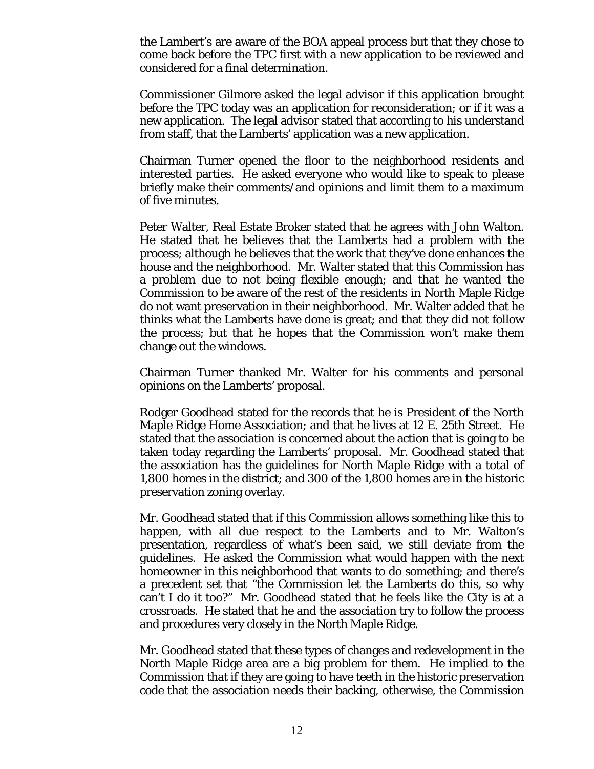the Lambert's are aware of the BOA appeal process but that they chose to come back before the TPC first with a new application to be reviewed and considered for a final determination.

Commissioner Gilmore asked the legal advisor if this application brought before the TPC today was an application for reconsideration; or if it was a new application. The legal advisor stated that according to his understand from staff, that the Lamberts' application was a new application.

Chairman Turner opened the floor to the neighborhood residents and interested parties. He asked everyone who would like to speak to please briefly make their comments/and opinions and limit them to a maximum of five minutes.

Peter Walter, Real Estate Broker stated that he agrees with John Walton. He stated that he believes that the Lamberts had a problem with the process; although he believes that the work that they've done enhances the house and the neighborhood. Mr. Walter stated that this Commission has a problem due to not being flexible enough; and that he wanted the Commission to be aware of the rest of the residents in North Maple Ridge do not want preservation in their neighborhood. Mr. Walter added that he thinks what the Lamberts have done is great; and that they did not follow the process; but that he hopes that the Commission won't make them change out the windows.

Chairman Turner thanked Mr. Walter for his comments and personal opinions on the Lamberts' proposal.

Rodger Goodhead stated for the records that he is President of the North Maple Ridge Home Association; and that he lives at 12 E. 25th Street. He stated that the association is concerned about the action that is going to be taken today regarding the Lamberts' proposal. Mr. Goodhead stated that the association has the guidelines for North Maple Ridge with a total of 1,800 homes in the district; and 300 of the 1,800 homes are in the historic preservation zoning overlay.

Mr. Goodhead stated that if this Commission allows something like this to happen, with all due respect to the Lamberts and to Mr. Walton's presentation, regardless of what's been said, we still deviate from the guidelines. He asked the Commission what would happen with the next homeowner in this neighborhood that wants to do something; and there's a precedent set that "the Commission let the Lamberts do this, so why can't I do it too?" Mr. Goodhead stated that he feels like the City is at a crossroads. He stated that he and the association try to follow the process and procedures very closely in the North Maple Ridge.

Mr. Goodhead stated that these types of changes and redevelopment in the North Maple Ridge area are a big problem for them. He implied to the Commission that if they are going to have teeth in the historic preservation code that the association needs their backing, otherwise, the Commission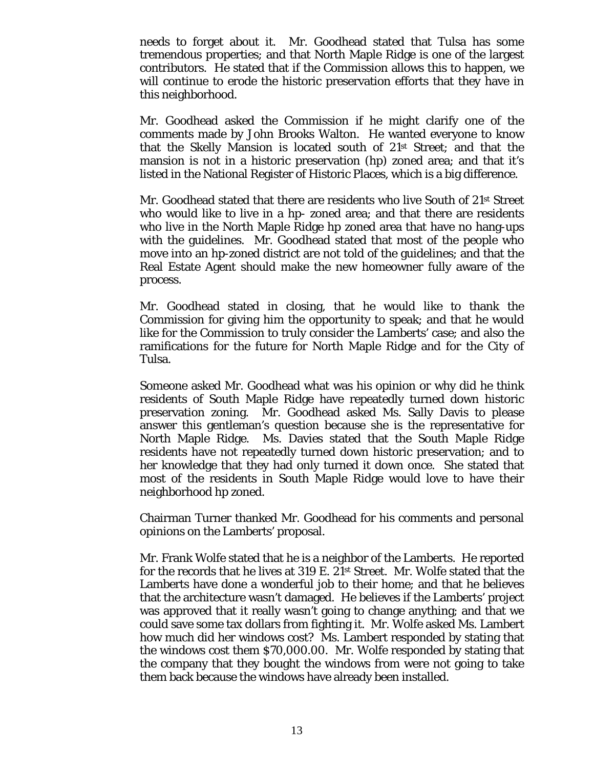needs to forget about it. Mr. Goodhead stated that Tulsa has some tremendous properties; and that North Maple Ridge is one of the largest contributors. He stated that if the Commission allows this to happen, we will continue to erode the historic preservation efforts that they have in this neighborhood.

Mr. Goodhead asked the Commission if he might clarify one of the comments made by John Brooks Walton. He wanted everyone to know that the Skelly Mansion is located south of 21st Street; and that the mansion is not in a historic preservation (hp) zoned area; and that it's listed in the National Register of Historic Places, which is a big difference.

Mr. Goodhead stated that there are residents who live South of 21st Street who would like to live in a hp- zoned area; and that there are residents who live in the North Maple Ridge hp zoned area that have no hang-ups with the guidelines. Mr. Goodhead stated that most of the people who move into an hp-zoned district are not told of the guidelines; and that the Real Estate Agent should make the new homeowner fully aware of the process.

Mr. Goodhead stated in closing, that he would like to thank the Commission for giving him the opportunity to speak; and that he would like for the Commission to truly consider the Lamberts' case; and also the ramifications for the future for North Maple Ridge and for the City of Tulsa.

Someone asked Mr. Goodhead what was his opinion or why did he think residents of South Maple Ridge have repeatedly turned down historic preservation zoning. Mr. Goodhead asked Ms. Sally Davis to please answer this gentleman's question because she is the representative for North Maple Ridge. Ms. Davies stated that the South Maple Ridge residents have not repeatedly turned down historic preservation; and to her knowledge that they had only turned it down once. She stated that most of the residents in South Maple Ridge would love to have their neighborhood hp zoned.

Chairman Turner thanked Mr. Goodhead for his comments and personal opinions on the Lamberts' proposal.

Mr. Frank Wolfe stated that he is a neighbor of the Lamberts. He reported for the records that he lives at 319 E. 21st Street. Mr. Wolfe stated that the Lamberts have done a wonderful job to their home; and that he believes that the architecture wasn't damaged. He believes if the Lamberts' project was approved that it really wasn't going to change anything; and that we could save some tax dollars from fighting it. Mr. Wolfe asked Ms. Lambert how much did her windows cost? Ms. Lambert responded by stating that the windows cost them \$70,000.00. Mr. Wolfe responded by stating that the company that they bought the windows from were not going to take them back because the windows have already been installed.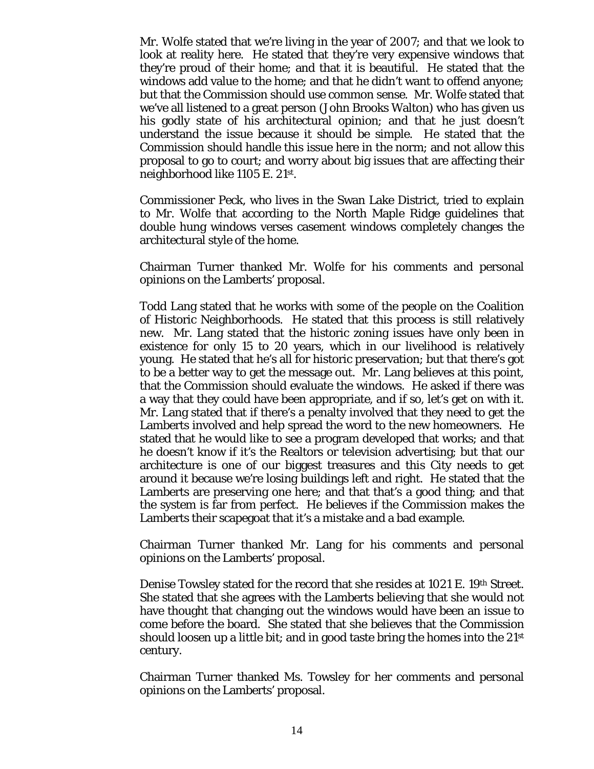Mr. Wolfe stated that we're living in the year of 2007; and that we look to look at reality here. He stated that they're very expensive windows that they're proud of their home; and that it is beautiful. He stated that the windows add value to the home; and that he didn't want to offend anyone; but that the Commission should use common sense. Mr. Wolfe stated that we've all listened to a great person (John Brooks Walton) who has given us his godly state of his architectural opinion; and that he just doesn't understand the issue because it should be simple. He stated that the Commission should handle this issue here in the norm; and not allow this proposal to go to court; and worry about big issues that are affecting their neighborhood like 1105 E. 21st.

Commissioner Peck, who lives in the Swan Lake District, tried to explain to Mr. Wolfe that according to the North Maple Ridge guidelines that double hung windows verses casement windows completely changes the architectural style of the home.

Chairman Turner thanked Mr. Wolfe for his comments and personal opinions on the Lamberts' proposal.

Todd Lang stated that he works with some of the people on the Coalition of Historic Neighborhoods. He stated that this process is still relatively new. Mr. Lang stated that the historic zoning issues have only been in existence for only 15 to 20 years, which in our livelihood is relatively young. He stated that he's all for historic preservation; but that there's got to be a better way to get the message out. Mr. Lang believes at this point, that the Commission should evaluate the windows. He asked if there was a way that they could have been appropriate, and if so, let's get on with it. Mr. Lang stated that if there's a penalty involved that they need to get the Lamberts involved and help spread the word to the new homeowners. He stated that he would like to see a program developed that works; and that he doesn't know if it's the Realtors or television advertising; but that our architecture is one of our biggest treasures and this City needs to get around it because we're losing buildings left and right. He stated that the Lamberts are preserving one here; and that that's a good thing; and that the system is far from perfect. He believes if the Commission makes the Lamberts their scapegoat that it's a mistake and a bad example.

Chairman Turner thanked Mr. Lang for his comments and personal opinions on the Lamberts' proposal.

Denise Towsley stated for the record that she resides at 1021 E. 19th Street. She stated that she agrees with the Lamberts believing that she would not have thought that changing out the windows would have been an issue to come before the board. She stated that she believes that the Commission should loosen up a little bit; and in good taste bring the homes into the  $21^{st}$ century.

Chairman Turner thanked Ms. Towsley for her comments and personal opinions on the Lamberts' proposal.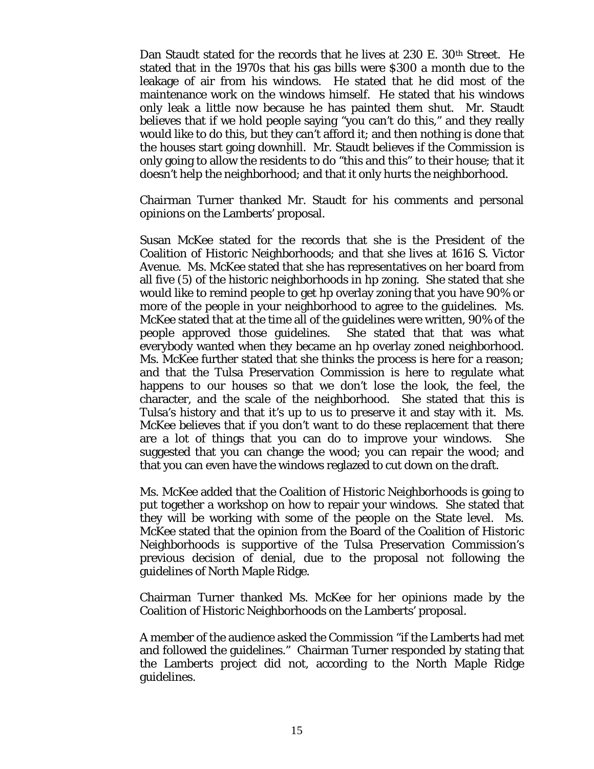Dan Staudt stated for the records that he lives at 230 E. 30<sup>th</sup> Street. He stated that in the 1970s that his gas bills were \$300 a month due to the leakage of air from his windows. He stated that he did most of the maintenance work on the windows himself. He stated that his windows only leak a little now because he has painted them shut. Mr. Staudt believes that if we hold people saying "you can't do this," and they really would like to do this, but they can't afford it; and then nothing is done that the houses start going downhill. Mr. Staudt believes if the Commission is only going to allow the residents to do "this and this" to their house; that it doesn't help the neighborhood; and that it only hurts the neighborhood.

Chairman Turner thanked Mr. Staudt for his comments and personal opinions on the Lamberts' proposal.

Susan McKee stated for the records that she is the President of the Coalition of Historic Neighborhoods; and that she lives at 1616 S. Victor Avenue. Ms. McKee stated that she has representatives on her board from all five (5) of the historic neighborhoods in hp zoning. She stated that she would like to remind people to get hp overlay zoning that you have 90% or more of the people in your neighborhood to agree to the guidelines. Ms. McKee stated that at the time all of the guidelines were written, 90% of the people approved those guidelines. She stated that that was what everybody wanted when they became an hp overlay zoned neighborhood. Ms. McKee further stated that she thinks the process is here for a reason; and that the Tulsa Preservation Commission is here to regulate what happens to our houses so that we don't lose the look, the feel, the character, and the scale of the neighborhood. She stated that this is Tulsa's history and that it's up to us to preserve it and stay with it. Ms. McKee believes that if you don't want to do these replacement that there are a lot of things that you can do to improve your windows. She suggested that you can change the wood; you can repair the wood; and that you can even have the windows reglazed to cut down on the draft.

Ms. McKee added that the Coalition of Historic Neighborhoods is going to put together a workshop on how to repair your windows. She stated that they will be working with some of the people on the State level. Ms. McKee stated that the opinion from the Board of the Coalition of Historic Neighborhoods is supportive of the Tulsa Preservation Commission's previous decision of denial, due to the proposal not following the guidelines of North Maple Ridge.

Chairman Turner thanked Ms. McKee for her opinions made by the Coalition of Historic Neighborhoods on the Lamberts' proposal.

A member of the audience asked the Commission "if the Lamberts had met and followed the guidelines." Chairman Turner responded by stating that the Lamberts project did not, according to the North Maple Ridge guidelines.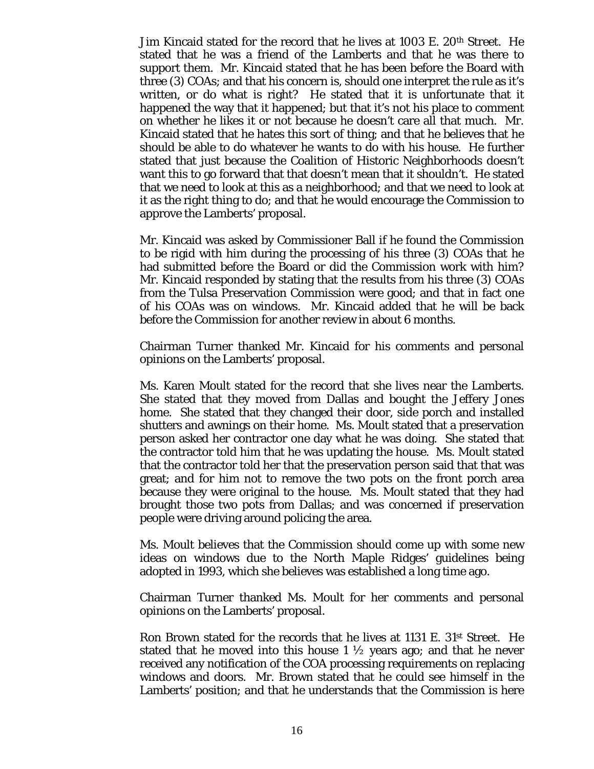Jim Kincaid stated for the record that he lives at 1003 E. 20<sup>th</sup> Street. He stated that he was a friend of the Lamberts and that he was there to support them. Mr. Kincaid stated that he has been before the Board with three (3) COAs; and that his concern is, should one interpret the rule as it's written, or do what is right? He stated that it is unfortunate that it happened the way that it happened; but that it's not his place to comment on whether he likes it or not because he doesn't care all that much. Mr. Kincaid stated that he hates this sort of thing; and that he believes that he should be able to do whatever he wants to do with his house. He further stated that just because the Coalition of Historic Neighborhoods doesn't want this to go forward that that doesn't mean that it shouldn't. He stated that we need to look at this as a neighborhood; and that we need to look at it as the right thing to do; and that he would encourage the Commission to approve the Lamberts' proposal.

Mr. Kincaid was asked by Commissioner Ball if he found the Commission to be rigid with him during the processing of his three (3) COAs that he had submitted before the Board or did the Commission work with him? Mr. Kincaid responded by stating that the results from his three (3) COAs from the Tulsa Preservation Commission were good; and that in fact one of his COAs was on windows. Mr. Kincaid added that he will be back before the Commission for another review in about 6 months.

Chairman Turner thanked Mr. Kincaid for his comments and personal opinions on the Lamberts' proposal.

Ms. Karen Moult stated for the record that she lives near the Lamberts. She stated that they moved from Dallas and bought the Jeffery Jones home. She stated that they changed their door, side porch and installed shutters and awnings on their home. Ms. Moult stated that a preservation person asked her contractor one day what he was doing. She stated that the contractor told him that he was updating the house. Ms. Moult stated that the contractor told her that the preservation person said that that was great; and for him not to remove the two pots on the front porch area because they were original to the house. Ms. Moult stated that they had brought those two pots from Dallas; and was concerned if preservation people were driving around policing the area.

Ms. Moult believes that the Commission should come up with some new ideas on windows due to the North Maple Ridges' guidelines being adopted in 1993, which she believes was established a long time ago.

Chairman Turner thanked Ms. Moult for her comments and personal opinions on the Lamberts' proposal.

Ron Brown stated for the records that he lives at 1131 E.  $31<sup>st</sup>$  Street. He stated that he moved into this house  $1 \frac{1}{2}$  years ago; and that he never received any notification of the COA processing requirements on replacing windows and doors. Mr. Brown stated that he could see himself in the Lamberts' position; and that he understands that the Commission is here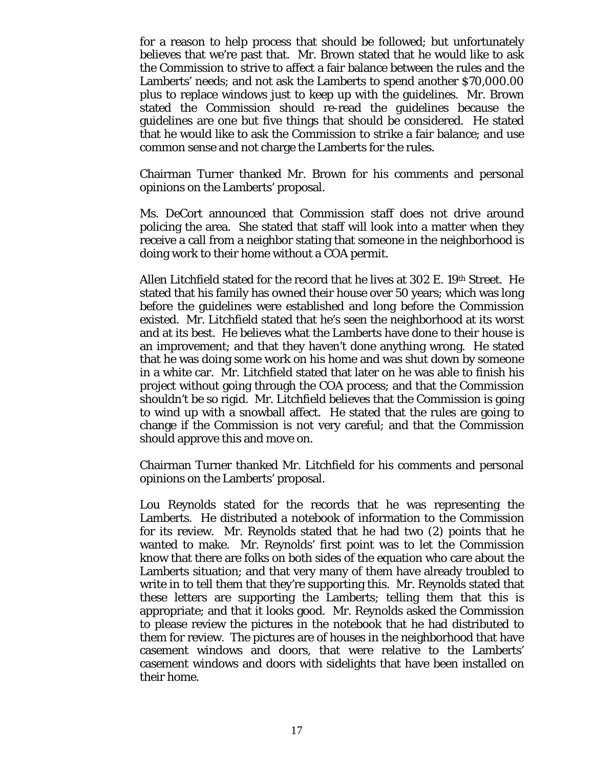for a reason to help process that should be followed; but unfortunately believes that we're past that. Mr. Brown stated that he would like to ask the Commission to strive to affect a fair balance between the rules and the Lamberts' needs; and not ask the Lamberts to spend another \$70,000.00 plus to replace windows just to keep up with the guidelines. Mr. Brown stated the Commission should re-read the guidelines because the guidelines are one but five things that should be considered. He stated that he would like to ask the Commission to strike a fair balance; and use common sense and not charge the Lamberts for the rules.

Chairman Turner thanked Mr. Brown for his comments and personal opinions on the Lamberts' proposal.

Ms. DeCort announced that Commission staff does not drive around policing the area. She stated that staff will look into a matter when they receive a call from a neighbor stating that someone in the neighborhood is doing work to their home without a COA permit.

Allen Litchfield stated for the record that he lives at  $302$  E. 19<sup>th</sup> Street. He stated that his family has owned their house over 50 years; which was long before the guidelines were established and long before the Commission existed. Mr. Litchfield stated that he's seen the neighborhood at its worst and at its best. He believes what the Lamberts have done to their house is an improvement; and that they haven't done anything wrong. He stated that he was doing some work on his home and was shut down by someone in a white car. Mr. Litchfield stated that later on he was able to finish his project without going through the COA process; and that the Commission shouldn't be so rigid. Mr. Litchfield believes that the Commission is going to wind up with a snowball affect. He stated that the rules are going to change if the Commission is not very careful; and that the Commission should approve this and move on.

Chairman Turner thanked Mr. Litchfield for his comments and personal opinions on the Lamberts' proposal.

Lou Reynolds stated for the records that he was representing the Lamberts. He distributed a notebook of information to the Commission for its review. Mr. Reynolds stated that he had two (2) points that he wanted to make. Mr. Reynolds' first point was to let the Commission know that there are folks on both sides of the equation who care about the Lamberts situation; and that very many of them have already troubled to write in to tell them that they're supporting this. Mr. Reynolds stated that these letters are supporting the Lamberts; telling them that this is appropriate; and that it looks good. Mr. Reynolds asked the Commission to please review the pictures in the notebook that he had distributed to them for review. The pictures are of houses in the neighborhood that have casement windows and doors, that were relative to the Lamberts' casement windows and doors with sidelights that have been installed on their home.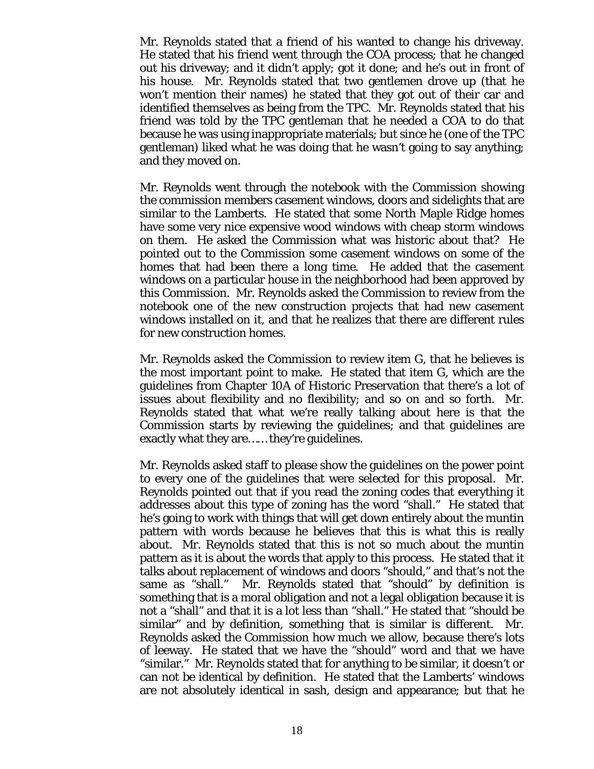Mr. Reynolds stated that a friend of his wanted to change his driveway. He stated that his friend went through the COA process; that he changed out his driveway; and it didn't apply; got it done; and he's out in front of his house. Mr. Reynolds stated that two gentlemen drove up (that he won't mention their names) he stated that they got out of their car and identified themselves as being from the TPC. Mr. Reynolds stated that his friend was told by the TPC gentleman that he needed a COA to do that because he was using inappropriate materials; but since he (one of the TPC gentleman) liked what he was doing that he wasn't going to say anything; and they moved on.

Mr. Reynolds went through the notebook with the Commission showing the commission members casement windows, doors and sidelights that are similar to the Lamberts. He stated that some North Maple Ridge homes have some very nice expensive wood windows with cheap storm windows on them. He asked the Commission what was historic about that? He pointed out to the Commission some casement windows on some of the homes that had been there a long time. He added that the casement windows on a particular house in the neighborhood had been approved by this Commission. Mr. Reynolds asked the Commission to review from the notebook one of the new construction projects that had new casement windows installed on it, and that he realizes that there are different rules for new construction homes.

Mr. Reynolds asked the Commission to review item G, that he believes is the most important point to make. He stated that item G, which are the guidelines from Chapter 10A of Historic Preservation that there's a lot of issues about flexibility and no flexibility; and so on and so forth. Mr. Reynolds stated that what we're really talking about here is that the Commission starts by reviewing the guidelines; and that guidelines are exactly what they are…… they're guidelines.

Mr. Reynolds asked staff to please show the guidelines on the power point to every one of the guidelines that were selected for this proposal. Mr. Reynolds pointed out that if you read the zoning codes that everything it addresses about this type of zoning has the word "shall." He stated that he's going to work with things that will get down entirely about the muntin pattern with words because he believes that this is what this is really about. Mr. Reynolds stated that this is not so much about the muntin pattern as it is about the words that apply to this process. He stated that it talks about replacement of windows and doors "should," and that's not the same as "shall." Mr. Reynolds stated that "should" by definition is something that is a moral obligation and not a legal obligation because it is not a "shall" and that it is a lot less than "shall." He stated that "should be similar" and by definition, something that is similar is different. Mr. Reynolds asked the Commission how much we allow, because there's lots of leeway. He stated that we have the "should" word and that we have "similar." Mr. Reynolds stated that for anything to be similar, it doesn't or can not be identical by definition. He stated that the Lamberts' windows are not absolutely identical in sash, design and appearance; but that he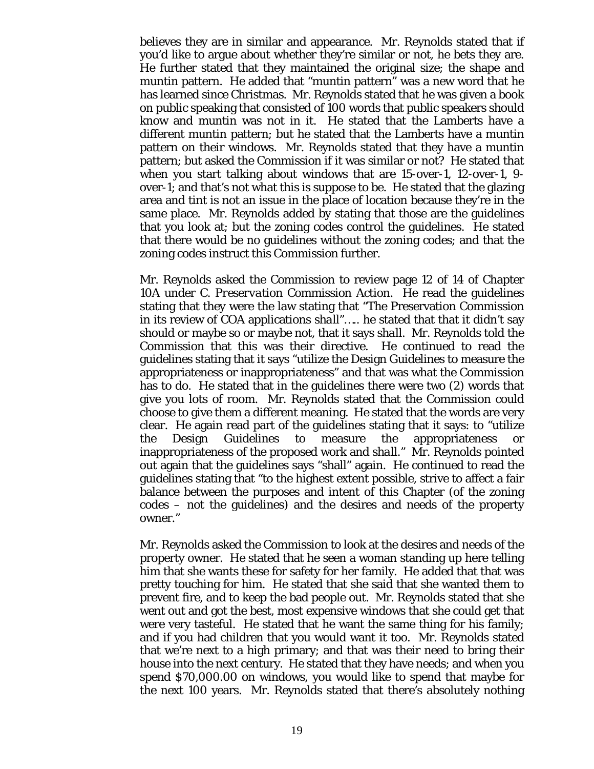believes they are in similar and appearance. Mr. Reynolds stated that if you'd like to argue about whether they're similar or not, he bets they are. He further stated that they maintained the original size; the shape and muntin pattern. He added that "muntin pattern" was a new word that he has learned since Christmas. Mr. Reynolds stated that he was given a book on public speaking that consisted of 100 words that public speakers should know and muntin was not in it. He stated that the Lamberts have a different muntin pattern; but he stated that the Lamberts have a muntin pattern on their windows. Mr. Reynolds stated that they have a muntin pattern; but asked the Commission if it was similar or not? He stated that when you start talking about windows that are 15-over-1, 12-over-1, 9 over-1; and that's not what this is suppose to be. He stated that the glazing area and tint is not an issue in the place of location because they're in the same place. Mr. Reynolds added by stating that those are the guidelines that you look at; but the zoning codes control the guidelines. He stated that there would be no guidelines without the zoning codes; and that the zoning codes instruct this Commission further.

Mr. Reynolds asked the Commission to review page 12 of 14 of Chapter 10A under *C. Preservation Commission Action*. He read the guidelines stating that they were the law stating that "The Preservation Commission in its review of COA applications *shall"…..* he stated that that it didn't say should or maybe so or maybe not, that it says *shall.* Mr. Reynolds told the Commission that this was their directive. He continued to read the guidelines stating that it says "utilize the Design Guidelines to measure the appropriateness or inappropriateness" and that was what the Commission has to do. He stated that in the guidelines there were two (2) words that give you lots of room. Mr. Reynolds stated that the Commission could choose to give them a different meaning. He stated that the words are very clear. He again read part of the guidelines stating that it says: to "utilize the Design Guidelines to measure the appropriateness or inappropriateness of the proposed work and *shall."* Mr. Reynolds pointed out again that the guidelines says "shall" again. He continued to read the guidelines stating that "to the highest extent possible, strive to affect a fair balance between the purposes and intent of this Chapter (of the zoning codes – not the guidelines) and the desires and needs of the property owner."

Mr. Reynolds asked the Commission to look at the desires and needs of the property owner. He stated that he seen a woman standing up here telling him that she wants these for safety for her family. He added that that was pretty touching for him. He stated that she said that she wanted them to prevent fire, and to keep the bad people out. Mr. Reynolds stated that she went out and got the best, most expensive windows that she could get that were very tasteful. He stated that he want the same thing for his family; and if you had children that you would want it too. Mr. Reynolds stated that we're next to a high primary; and that was their need to bring their house into the next century. He stated that they have needs; and when you spend \$70,000.00 on windows, you would like to spend that maybe for the next 100 years. Mr. Reynolds stated that there's absolutely nothing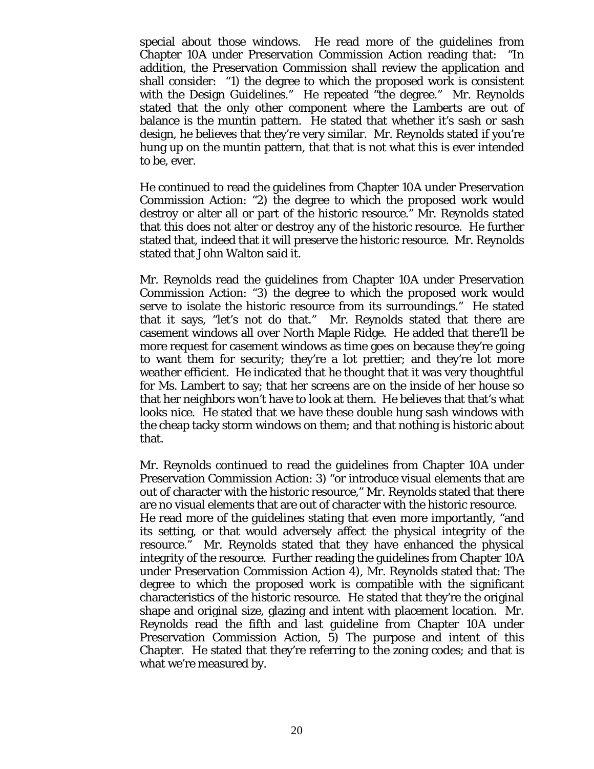special about those windows. He read more of the guidelines from Chapter 10A under Preservation Commission Action reading that: "In addition, the Preservation Commission *shall* review the application and shall consider: "1) the degree to which the proposed work is consistent with the Design Guidelines." He repeated "the degree." Mr. Reynolds stated that the only other component where the Lamberts are out of balance is the muntin pattern. He stated that whether it's sash or sash design, he believes that they're very similar. Mr. Reynolds stated if you're hung up on the muntin pattern, that that is not what this is ever intended to be, ever.

He continued to read the guidelines from Chapter 10A under Preservation Commission Action: "2) the degree to which the proposed work would destroy or alter all or part of the historic resource." Mr. Reynolds stated that this does not alter or destroy any of the historic resource. He further stated that, indeed that it will preserve the historic resource. Mr. Reynolds stated that John Walton said it.

Mr. Reynolds read the guidelines from Chapter 10A under Preservation Commission Action: "3) the degree to which the proposed work would serve to isolate the historic resource from its surroundings." He stated that it says, "let's not do that." Mr. Reynolds stated that there are casement windows all over North Maple Ridge. He added that there'll be more request for casement windows as time goes on because they're going to want them for security; they're a lot prettier; and they're lot more weather efficient. He indicated that he thought that it was very thoughtful for Ms. Lambert to say; that her screens are on the inside of her house so that her neighbors won't have to look at them. He believes that that's what looks nice. He stated that we have these double hung sash windows with the cheap tacky storm windows on them; and that nothing is historic about that.

Mr. Reynolds continued to read the guidelines from Chapter 10A under Preservation Commission Action: 3) "or introduce visual elements that are out of character with the historic resource," Mr. Reynolds stated that there are no visual elements that are out of character with the historic resource. He read more of the guidelines stating that even more importantly, "and its setting, or that would adversely affect the physical integrity of the resource." Mr. Reynolds stated that they have enhanced the physical integrity of the resource. Further reading the guidelines from Chapter 10A under Preservation Commission Action 4), Mr. Reynolds stated that: The degree to which the proposed work is compatible with the significant characteristics of the historic resource. He stated that they're the original shape and original size, glazing and intent with placement location. Mr. Reynolds read the fifth and last guideline from Chapter 10A under Preservation Commission Action, 5) The purpose and intent of this Chapter. He stated that they're referring to the zoning codes; and that is what we're measured by.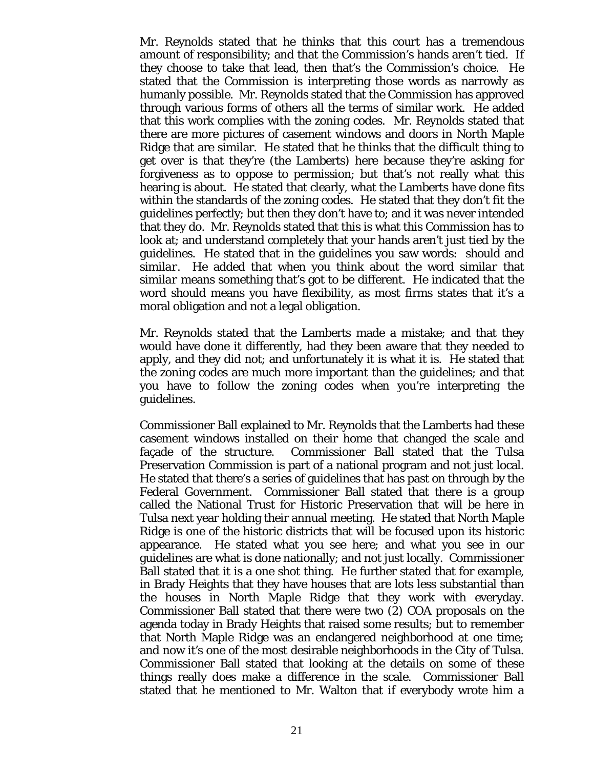Mr. Reynolds stated that he thinks that this court has a tremendous amount of responsibility; and that the Commission's hands aren't tied. If they choose to take that lead, then that's the Commission's choice. He stated that the Commission is interpreting those words as narrowly as humanly possible. Mr. Reynolds stated that the Commission has approved through various forms of others all the terms of similar work. He added that this work complies with the zoning codes. Mr. Reynolds stated that there are more pictures of casement windows and doors in North Maple Ridge that are similar. He stated that he thinks that the difficult thing to get over is that they're (the Lamberts) here because they're asking for forgiveness as to oppose to permission; but that's not really what this hearing is about. He stated that clearly, what the Lamberts have done fits within the standards of the zoning codes. He stated that they don't fit the guidelines perfectly; but then they don't have to; and it was never intended that they do. Mr. Reynolds stated that this is what this Commission has to look at; and understand completely that your hands aren't just tied by the guidelines. He stated that in the guidelines you saw words: *should* and *similar*. He added that when you think about the word *similar* that *similar* means something that's got to be different. He indicated that the word *should* means you have flexibility, as most firms states that it's a moral obligation and not a legal obligation.

Mr. Reynolds stated that the Lamberts made a mistake; and that they would have done it differently, had they been aware that they needed to apply, and they did not; and unfortunately it is what it is. He stated that the zoning codes are much more important than the guidelines; and that you have to follow the zoning codes when you're interpreting the guidelines.

Commissioner Ball explained to Mr. Reynolds that the Lamberts had these casement windows installed on their home that changed the scale and façade of the structure. Commissioner Ball stated that the Tulsa Preservation Commission is part of a national program and not just local. He stated that there's a series of guidelines that has past on through by the Federal Government. Commissioner Ball stated that there is a group called the National Trust for Historic Preservation that will be here in Tulsa next year holding their annual meeting. He stated that North Maple Ridge is one of the historic districts that will be focused upon its historic appearance. He stated what you see here; and what you see in our guidelines are what is done nationally; and not just locally. Commissioner Ball stated that it is a one shot thing. He further stated that for example, in Brady Heights that they have houses that are lots less substantial than the houses in North Maple Ridge that they work with everyday. Commissioner Ball stated that there were two (2) COA proposals on the agenda today in Brady Heights that raised some results; but to remember that North Maple Ridge was an endangered neighborhood at one time; and now it's one of the most desirable neighborhoods in the City of Tulsa. Commissioner Ball stated that looking at the details on some of these things really does make a difference in the scale. Commissioner Ball stated that he mentioned to Mr. Walton that if everybody wrote him a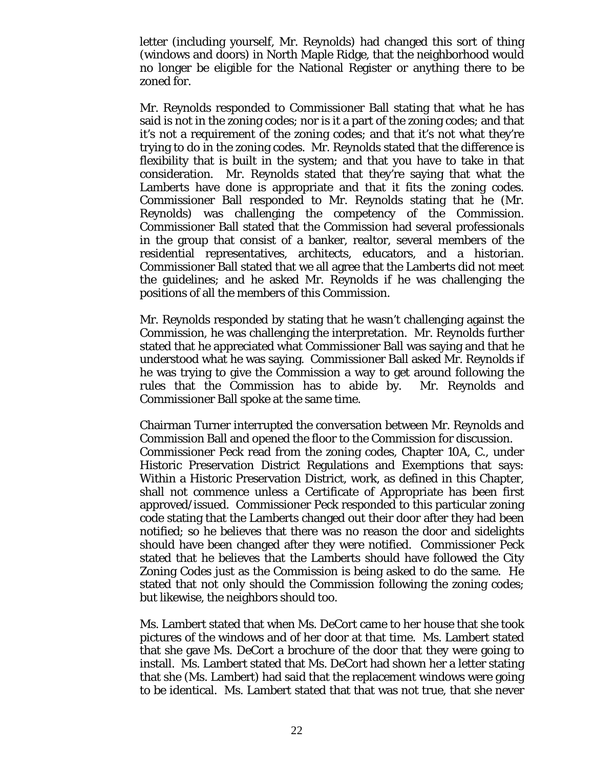letter (including yourself, Mr. Reynolds) had changed this sort of thing (windows and doors) in North Maple Ridge, that the neighborhood would no longer be eligible for the National Register or anything there to be zoned for.

Mr. Reynolds responded to Commissioner Ball stating that what he has said is not in the zoning codes; nor is it a part of the zoning codes; and that it's not a requirement of the zoning codes; and that it's not what they're trying to do in the zoning codes. Mr. Reynolds stated that the difference is flexibility that is built in the system; and that you have to take in that consideration. Mr. Reynolds stated that they're saying that what the Lamberts have done is appropriate and that it fits the zoning codes. Commissioner Ball responded to Mr. Reynolds stating that he (Mr. Reynolds) was challenging the competency of the Commission. Commissioner Ball stated that the Commission had several professionals in the group that consist of a banker, realtor, several members of the residential representatives, architects, educators, and a historian. Commissioner Ball stated that we all agree that the Lamberts did not meet the guidelines; and he asked Mr. Reynolds if he was challenging the positions of all the members of this Commission.

Mr. Reynolds responded by stating that he wasn't challenging against the Commission, he was challenging the interpretation. Mr. Reynolds further stated that he appreciated what Commissioner Ball was saying and that he understood what he was saying. Commissioner Ball asked Mr. Reynolds if he was trying to give the Commission a way to get around following the rules that the Commission has to abide by. Mr. Reynolds and Commissioner Ball spoke at the same time.

Chairman Turner interrupted the conversation between Mr. Reynolds and Commission Ball and opened the floor to the Commission for discussion. Commissioner Peck read from the zoning codes, Chapter 10A, C., under Historic Preservation District Regulations and Exemptions that says: Within a Historic Preservation District, work, as defined in this Chapter, shall not commence unless a Certificate of Appropriate has been first approved/issued. Commissioner Peck responded to this particular zoning code stating that the Lamberts changed out their door after they had been notified; so he believes that there was no reason the door and sidelights should have been changed after they were notified. Commissioner Peck stated that he believes that the Lamberts should have followed the City Zoning Codes just as the Commission is being asked to do the same. He stated that not only should the Commission following the zoning codes; but likewise, the neighbors should too.

Ms. Lambert stated that when Ms. DeCort came to her house that she took pictures of the windows and of her door at that time. Ms. Lambert stated that she gave Ms. DeCort a brochure of the door that they were going to install. Ms. Lambert stated that Ms. DeCort had shown her a letter stating that she (Ms. Lambert) had said that the replacement windows were going to be identical. Ms. Lambert stated that that was not true, that she never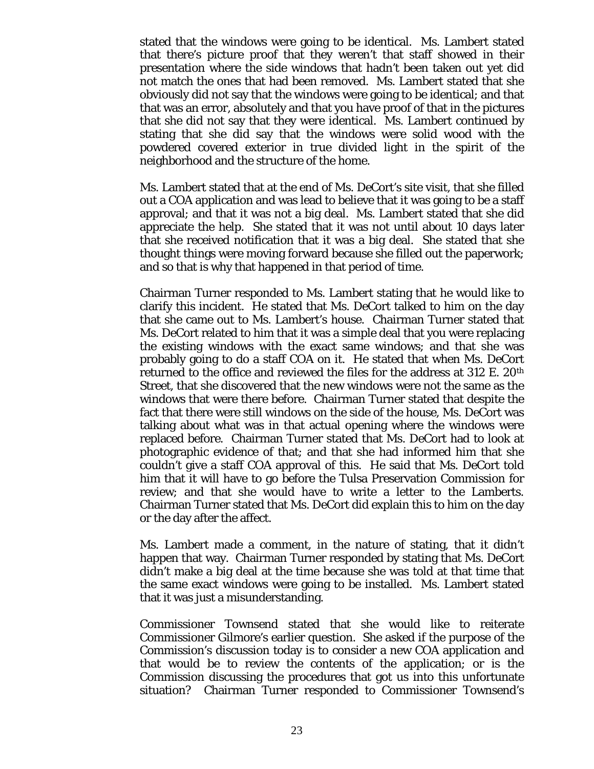stated that the windows were going to be identical. Ms. Lambert stated that there's picture proof that they weren't that staff showed in their presentation where the side windows that hadn't been taken out yet did not match the ones that had been removed. Ms. Lambert stated that she obviously did not say that the windows were going to be identical; and that that was an error, absolutely and that you have proof of that in the pictures that she did not say that they were identical. Ms. Lambert continued by stating that she did say that the windows were solid wood with the powdered covered exterior in true divided light in the spirit of the neighborhood and the structure of the home.

Ms. Lambert stated that at the end of Ms. DeCort's site visit, that she filled out a COA application and was lead to believe that it was going to be a staff approval; and that it was not a big deal. Ms. Lambert stated that she did appreciate the help. She stated that it was not until about 10 days later that she received notification that it was a big deal. She stated that she thought things were moving forward because she filled out the paperwork; and so that is why that happened in that period of time.

Chairman Turner responded to Ms. Lambert stating that he would like to clarify this incident. He stated that Ms. DeCort talked to him on the day that she came out to Ms. Lambert's house. Chairman Turner stated that Ms. DeCort related to him that it was a simple deal that you were replacing the existing windows with the exact same windows; and that she was probably going to do a staff COA on it. He stated that when Ms. DeCort returned to the office and reviewed the files for the address at 312 E. 20th Street, that she discovered that the new windows were not the same as the windows that were there before. Chairman Turner stated that despite the fact that there were still windows on the side of the house, Ms. DeCort was talking about what was in that actual opening where the windows were replaced before. Chairman Turner stated that Ms. DeCort had to look at photographic evidence of that; and that she had informed him that she couldn't give a staff COA approval of this. He said that Ms. DeCort told him that it will have to go before the Tulsa Preservation Commission for review; and that she would have to write a letter to the Lamberts. Chairman Turner stated that Ms. DeCort did explain this to him on the day or the day after the affect.

Ms. Lambert made a comment, in the nature of stating, that it didn't happen that way. Chairman Turner responded by stating that Ms. DeCort didn't make a big deal at the time because she was told at that time that the same exact windows were going to be installed. Ms. Lambert stated that it was just a misunderstanding.

Commissioner Townsend stated that she would like to reiterate Commissioner Gilmore's earlier question. She asked if the purpose of the Commission's discussion today is to consider a new COA application and that would be to review the contents of the application; or is the Commission discussing the procedures that got us into this unfortunate situation? Chairman Turner responded to Commissioner Townsend's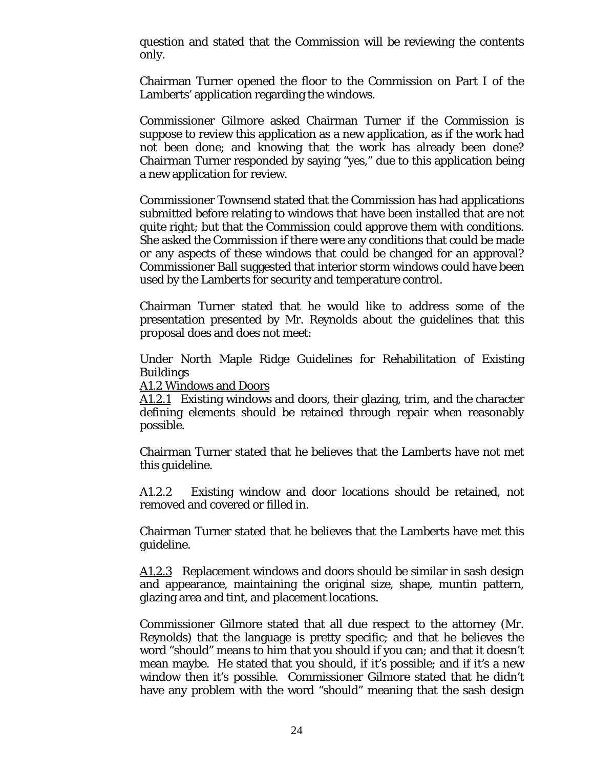question and stated that the Commission will be reviewing the contents only.

Chairman Turner opened the floor to the Commission on Part I of the Lamberts' application regarding the windows.

Commissioner Gilmore asked Chairman Turner if the Commission is suppose to review this application as a new application, as if the work had not been done; and knowing that the work has already been done? Chairman Turner responded by saying "yes," due to this application being a new application for review.

Commissioner Townsend stated that the Commission has had applications submitted before relating to windows that have been installed that are not quite right; but that the Commission could approve them with conditions. She asked the Commission if there were any conditions that could be made or any aspects of these windows that could be changed for an approval? Commissioner Ball suggested that interior storm windows could have been used by the Lamberts for security and temperature control.

Chairman Turner stated that he would like to address some of the presentation presented by Mr. Reynolds about the guidelines that this proposal does and does not meet:

Under North Maple Ridge Guidelines for Rehabilitation of Existing Buildings

A1.2 Windows and Doors

A1.2.1 Existing windows and doors, their glazing, trim, and the character defining elements should be retained through repair when reasonably possible.

Chairman Turner stated that he believes that the Lamberts have not met this guideline.

A1.2.2 Existing window and door locations should be retained, not removed and covered or filled in.

Chairman Turner stated that he believes that the Lamberts have met this guideline.

A1.2.3 Replacement windows and doors should be similar in sash design and appearance, maintaining the original size, shape, muntin pattern, glazing area and tint, and placement locations.

Commissioner Gilmore stated that all due respect to the attorney (Mr. Reynolds) that the language is pretty specific; and that he believes the word "should" means to him that you should if you can; and that it doesn't mean maybe. He stated that you should, if it's possible; and if it's a new window then it's possible. Commissioner Gilmore stated that he didn't have any problem with the word "should" meaning that the sash design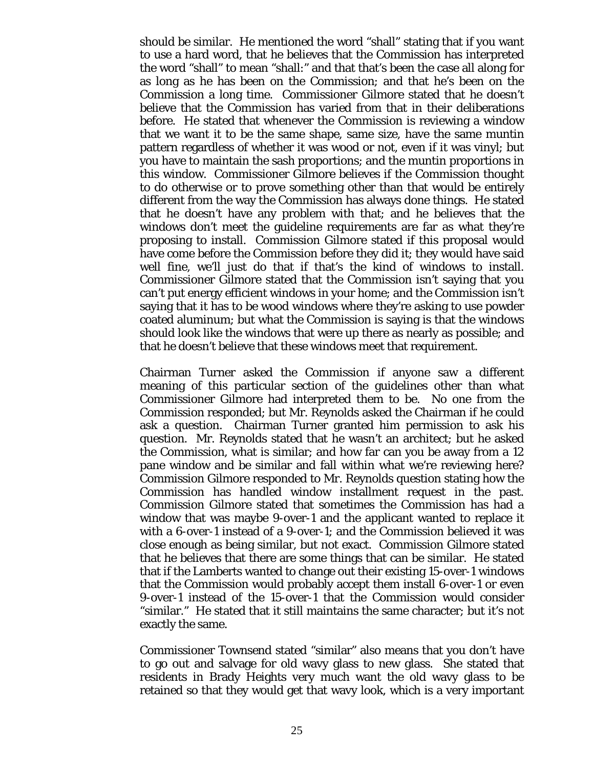should be similar. He mentioned the word "shall" stating that if you want to use a hard word, that he believes that the Commission has interpreted the word "shall" to mean "shall:" and that that's been the case all along for as long as he has been on the Commission; and that he's been on the Commission a long time. Commissioner Gilmore stated that he doesn't believe that the Commission has varied from that in their deliberations before. He stated that whenever the Commission is reviewing a window that we want it to be the same shape, same size, have the same muntin pattern regardless of whether it was wood or not, even if it was vinyl; but you have to maintain the sash proportions; and the muntin proportions in this window. Commissioner Gilmore believes if the Commission thought to do otherwise or to prove something other than that would be entirely different from the way the Commission has always done things. He stated that he doesn't have any problem with that; and he believes that the windows don't meet the guideline requirements are far as what they're proposing to install. Commission Gilmore stated if this proposal would have come before the Commission before they did it; they would have said well fine, we'll just do that if that's the kind of windows to install. Commissioner Gilmore stated that the Commission isn't saying that you can't put energy efficient windows in your home; and the Commission isn't saying that it has to be wood windows where they're asking to use powder coated aluminum; but what the Commission is saying is that the windows should look like the windows that were up there as nearly as possible; and that he doesn't believe that these windows meet that requirement.

Chairman Turner asked the Commission if anyone saw a different meaning of this particular section of the guidelines other than what Commissioner Gilmore had interpreted them to be. No one from the Commission responded; but Mr. Reynolds asked the Chairman if he could ask a question. Chairman Turner granted him permission to ask his question. Mr. Reynolds stated that he wasn't an architect; but he asked the Commission, what is similar; and how far can you be away from a 12 pane window and be similar and fall within what we're reviewing here? Commission Gilmore responded to Mr. Reynolds question stating how the Commission has handled window installment request in the past. Commission Gilmore stated that sometimes the Commission has had a window that was maybe 9-over-1 and the applicant wanted to replace it with a 6-over-1 instead of a 9-over-1; and the Commission believed it was close enough as being similar, but not exact. Commission Gilmore stated that he believes that there are some things that can be similar. He stated that if the Lamberts wanted to change out their existing 15-over-1 windows that the Commission would probably accept them install 6-over-1 or even 9-over-1 instead of the 15-over-1 that the Commission would consider "similar." He stated that it still maintains the same character; but it's not exactly the same.

Commissioner Townsend stated "similar" also means that you don't have to go out and salvage for old wavy glass to new glass. She stated that residents in Brady Heights very much want the old wavy glass to be retained so that they would get that wavy look, which is a very important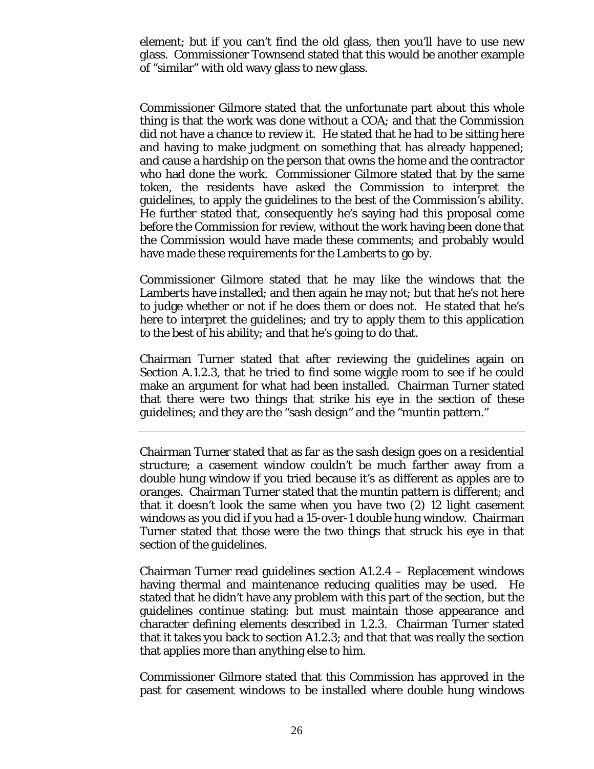element; but if you can't find the old glass, then you'll have to use new glass. Commissioner Townsend stated that this would be another example of "similar" with old wavy glass to new glass.

Commissioner Gilmore stated that the unfortunate part about this whole thing is that the work was done without a COA; and that the Commission did not have a chance to review it. He stated that he had to be sitting here and having to make judgment on something that has already happened; and cause a hardship on the person that owns the home and the contractor who had done the work. Commissioner Gilmore stated that by the same token, the residents have asked the Commission to interpret the guidelines, to apply the guidelines to the best of the Commission's ability. He further stated that, consequently he's saying had this proposal come before the Commission for review, without the work having been done that the Commission would have made these comments; and probably would have made these requirements for the Lamberts to go by.

Commissioner Gilmore stated that he may like the windows that the Lamberts have installed; and then again he may not; but that he's not here to judge whether or not if he does them or does not. He stated that he's here to interpret the guidelines; and try to apply them to this application to the best of his ability; and that he's going to do that.

Chairman Turner stated that after reviewing the guidelines again on Section A.1.2.3, that he tried to find some wiggle room to see if he could make an argument for what had been installed. Chairman Turner stated that there were two things that strike his eye in the section of these guidelines; and they are the "sash design" and the "muntin pattern."

Chairman Turner stated that as far as the sash design goes on a residential structure; a casement window couldn't be much farther away from a double hung window if you tried because it's as different as apples are to oranges. Chairman Turner stated that the muntin pattern is different; and that it doesn't look the same when you have two (2) 12 light casement windows as you did if you had a 15-over-1 double hung window. Chairman Turner stated that those were the two things that struck his eye in that section of the guidelines.

Chairman Turner read guidelines section A1.2.4 – Replacement windows having thermal and maintenance reducing qualities may be used. He stated that he didn't have any problem with this part of the section, but the guidelines continue stating: but must maintain those appearance and character defining elements described in 1.2.3. Chairman Turner stated that it takes you back to section A1.2.3; and that that was really the section that applies more than anything else to him.

Commissioner Gilmore stated that this Commission has approved in the past for casement windows to be installed where double hung windows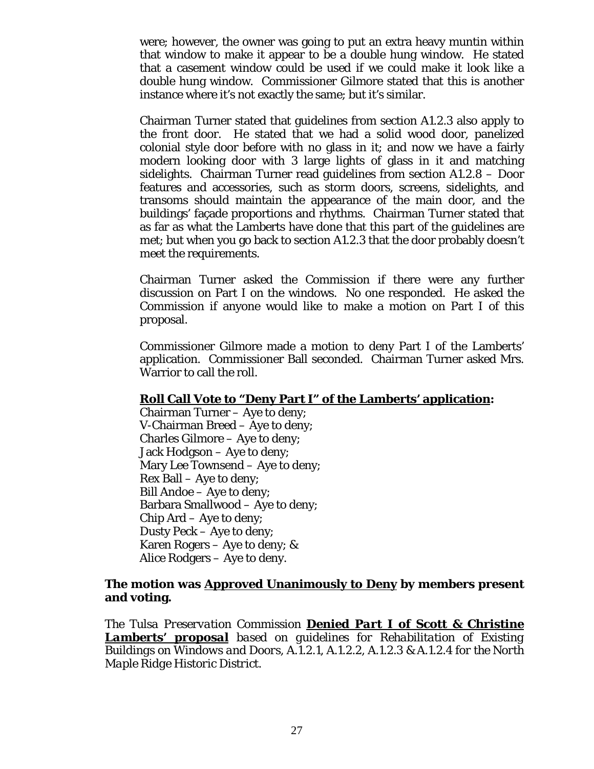were; however, the owner was going to put an extra heavy muntin within that window to make it appear to be a double hung window. He stated that a casement window could be used if we could make it look like a double hung window. Commissioner Gilmore stated that this is another instance where it's not exactly the same; but it's similar.

Chairman Turner stated that guidelines from section A1.2.3 also apply to the front door. He stated that we had a solid wood door, panelized colonial style door before with no glass in it; and now we have a fairly modern looking door with 3 large lights of glass in it and matching sidelights. Chairman Turner read guidelines from section A1.2.8 – Door features and accessories, such as storm doors, screens, sidelights, and transoms should maintain the appearance of the main door, and the buildings' façade proportions and rhythms. Chairman Turner stated that as far as what the Lamberts have done that this part of the guidelines are met; but when you go back to section A1.2.3 that the door probably doesn't meet the requirements.

Chairman Turner asked the Commission if there were any further discussion on Part I on the windows. No one responded. He asked the Commission if anyone would like to make a motion on Part I of this proposal.

Commissioner Gilmore made a motion to deny Part I of the Lamberts' application. Commissioner Ball seconded. Chairman Turner asked Mrs. Warrior to call the roll.

#### **Roll Call Vote to "Deny Part I" of the Lamberts' application:**

Chairman Turner – Aye to deny; V-Chairman Breed – Aye to deny; Charles Gilmore – Aye to deny; Jack Hodgson – Aye to deny; Mary Lee Townsend – Aye to deny; Rex Ball – Aye to deny; Bill Andoe – Aye to deny; Barbara Smallwood – Aye to deny; Chip Ard – Aye to deny; Dusty Peck – Aye to deny; Karen Rogers – Aye to deny; & Alice Rodgers – Aye to deny.

# **The motion was Approved Unanimously to Deny by members present and voting.**

*The Tulsa Preservation Commission Denied Part I of Scott & Christine Lamberts' proposal based on guidelines for Rehabilitation of Existing Buildings on Windows and Doors, A.1.2.1, A.1.2.2, A.1.2.3 & A.1.2.4 for the North Maple Ridge Historic District.*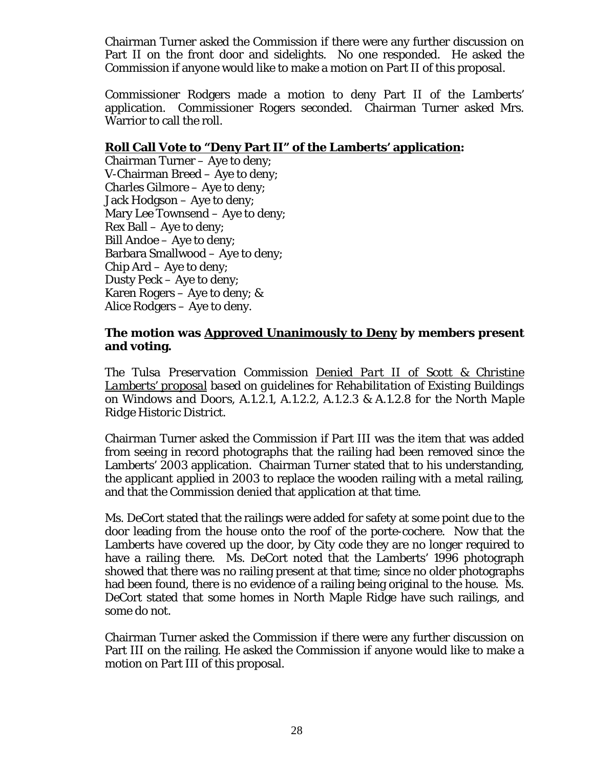Chairman Turner asked the Commission if there were any further discussion on Part II on the front door and sidelights. No one responded. He asked the Commission if anyone would like to make a motion on Part II of this proposal.

Commissioner Rodgers made a motion to deny Part II of the Lamberts' application. Commissioner Rogers seconded. Chairman Turner asked Mrs. Warrior to call the roll.

# **Roll Call Vote to "Deny Part II" of the Lamberts' application:**

Chairman Turner – Aye to deny; V-Chairman Breed – Aye to deny; Charles Gilmore – Aye to deny; Jack Hodgson – Aye to deny; Mary Lee Townsend – Aye to deny; Rex Ball – Aye to deny; Bill Andoe – Aye to deny; Barbara Smallwood – Aye to deny; Chip Ard – Aye to deny; Dusty Peck – Aye to deny; Karen Rogers – Aye to deny; & Alice Rodgers – Aye to deny.

# **The motion was Approved Unanimously to Deny by members present and voting.**

*The Tulsa Preservation Commission Denied Part II of Scott & Christine Lamberts' proposal based on guidelines for Rehabilitation of Existing Buildings on Windows and Doors, A.1.2.1, A.1.2.2, A.1.2.3 & A.1.2.8 for the North Maple Ridge Historic District.* 

Chairman Turner asked the Commission if Part III was the item that was added from seeing in record photographs that the railing had been removed since the Lamberts' 2003 application. Chairman Turner stated that to his understanding, the applicant applied in 2003 to replace the wooden railing with a metal railing, and that the Commission denied that application at that time.

Ms. DeCort stated that the railings were added for safety at some point due to the door leading from the house onto the roof of the porte-cochere. Now that the Lamberts have covered up the door, by City code they are no longer required to have a railing there. Ms. DeCort noted that the Lamberts' 1996 photograph showed that there was no railing present at that time; since no older photographs had been found, there is no evidence of a railing being original to the house. Ms. DeCort stated that some homes in North Maple Ridge have such railings, and some do not.

Chairman Turner asked the Commission if there were any further discussion on Part III on the railing. He asked the Commission if anyone would like to make a motion on Part III of this proposal.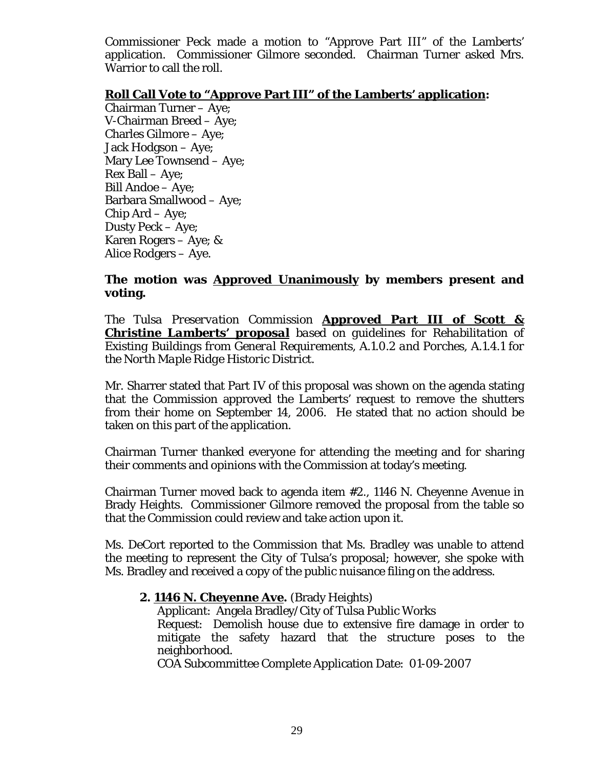Commissioner Peck made a motion to "Approve Part III" of the Lamberts' application. Commissioner Gilmore seconded. Chairman Turner asked Mrs. Warrior to call the roll.

#### **Roll Call Vote to "Approve Part III" of the Lamberts' application:**

Chairman Turner – Aye; V-Chairman Breed – Aye; Charles Gilmore – Aye; Jack Hodgson – Aye; Mary Lee Townsend – Aye; Rex Ball – Aye; Bill Andoe – Aye; Barbara Smallwood – Aye; Chip Ard – Aye; Dusty Peck – Aye; Karen Rogers – Aye; & Alice Rodgers – Aye.

# **The motion was Approved Unanimously by members present and voting.**

*The Tulsa Preservation Commission Approved Part III of Scott & Christine Lamberts' proposal based on guidelines for Rehabilitation of Existing Buildings from General Requirements, A.1.0.2 and Porches, A.1.4.1 for the North Maple Ridge Historic District.* 

Mr. Sharrer stated that Part IV of this proposal was shown on the agenda stating that the Commission approved the Lamberts' request to remove the shutters from their home on September 14, 2006. He stated that no action should be taken on this part of the application.

Chairman Turner thanked everyone for attending the meeting and for sharing their comments and opinions with the Commission at today's meeting.

Chairman Turner moved back to agenda item #2., 1146 N. Cheyenne Avenue in Brady Heights. Commissioner Gilmore removed the proposal from the table so that the Commission could review and take action upon it.

Ms. DeCort reported to the Commission that Ms. Bradley was unable to attend the meeting to represent the City of Tulsa's proposal; however, she spoke with Ms. Bradley and received a copy of the public nuisance filing on the address.

# **2. 1146 N. Cheyenne Ave.** (Brady Heights)

Applicant: Angela Bradley/City of Tulsa Public Works Request: Demolish house due to extensive fire damage in order to mitigate the safety hazard that the structure poses to the neighborhood.

COA Subcommittee Complete Application Date: 01-09-2007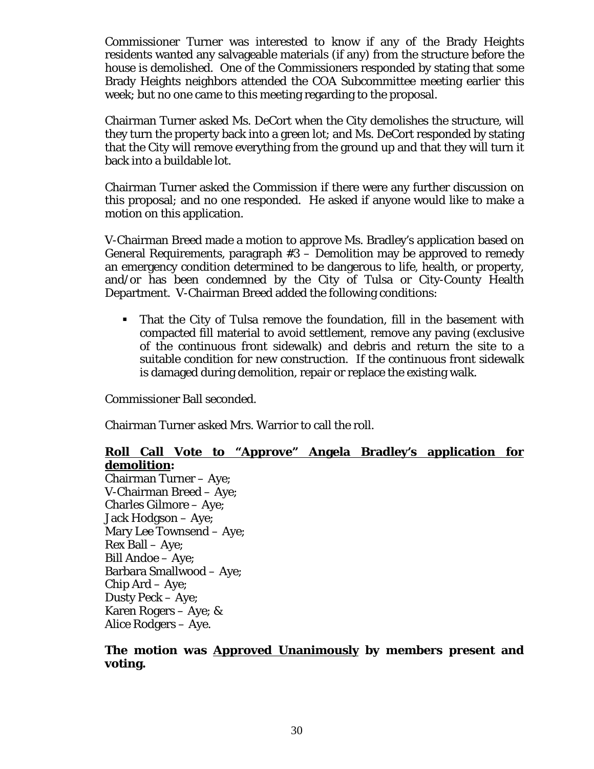Commissioner Turner was interested to know if any of the Brady Heights residents wanted any salvageable materials (if any) from the structure before the house is demolished. One of the Commissioners responded by stating that some Brady Heights neighbors attended the COA Subcommittee meeting earlier this week; but no one came to this meeting regarding to the proposal.

Chairman Turner asked Ms. DeCort when the City demolishes the structure, will they turn the property back into a green lot; and Ms. DeCort responded by stating that the City will remove everything from the ground up and that they will turn it back into a buildable lot.

Chairman Turner asked the Commission if there were any further discussion on this proposal; and no one responded. He asked if anyone would like to make a motion on this application.

V-Chairman Breed made a motion to approve Ms. Bradley's application based on General Requirements, paragraph #3 – Demolition may be approved to remedy an emergency condition determined to be dangerous to life, health, or property, and/or has been condemned by the City of Tulsa or City-County Health Department. V-Chairman Breed added the following conditions:

 That the City of Tulsa remove the foundation, fill in the basement with compacted fill material to avoid settlement, remove any paving (exclusive of the continuous front sidewalk) and debris and return the site to a suitable condition for new construction. If the continuous front sidewalk is damaged during demolition, repair or replace the existing walk.

Commissioner Ball seconded.

Chairman Turner asked Mrs. Warrior to call the roll.

#### **Roll Call Vote to "Approve" Angela Bradley's application for demolition:**

Chairman Turner – Aye; V-Chairman Breed – Aye; Charles Gilmore – Aye; Jack Hodgson – Aye; Mary Lee Townsend – Aye; Rex Ball – Aye; Bill Andoe – Aye; Barbara Smallwood – Aye; Chip Ard – Aye; Dusty Peck – Aye; Karen Rogers – Aye; & Alice Rodgers – Aye.

# **The motion was Approved Unanimously by members present and voting.**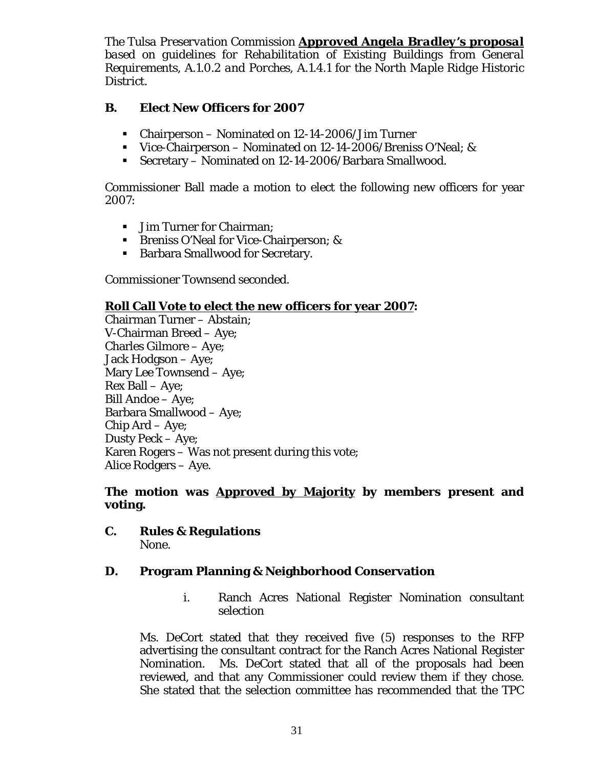*The Tulsa Preservation Commission Approved Angela Bradley's proposal based on guidelines for Rehabilitation of Existing Buildings from General Requirements, A.1.0.2 and Porches, A.1.4.1 for the North Maple Ridge Historic District.* 

# **B. Elect New Officers for 2007**

- Chairperson Nominated on 12-14-2006/Jim Turner
- Vice-Chairperson Nominated on 12-14-2006/Breniss O'Neal; &
- Secretary Nominated on 12-14-2006/Barbara Smallwood.

Commissioner Ball made a motion to elect the following new officers for year 2007:

- **Jim Turner for Chairman:**
- **Breniss O'Neal for Vice-Chairperson; &**
- Barbara Smallwood for Secretary.

Commissioner Townsend seconded.

# **Roll Call Vote to elect the new officers for year 2007:**

Chairman Turner – Abstain; V-Chairman Breed – Aye; Charles Gilmore – Aye; Jack Hodgson – Aye; Mary Lee Townsend – Aye; Rex Ball – Aye; Bill Andoe – Aye; Barbara Smallwood – Aye; Chip Ard – Aye; Dusty Peck – Aye; Karen Rogers – Was not present during this vote; Alice Rodgers – Aye.

# **The motion was Approved by Majority by members present and voting.**

# **C. Rules & Regulations**

None.

# **D. Program Planning & Neighborhood Conservation**

i. Ranch Acres National Register Nomination consultant selection

Ms. DeCort stated that they received five (5) responses to the RFP advertising the consultant contract for the Ranch Acres National Register Nomination. Ms. DeCort stated that all of the proposals had been reviewed, and that any Commissioner could review them if they chose. She stated that the selection committee has recommended that the TPC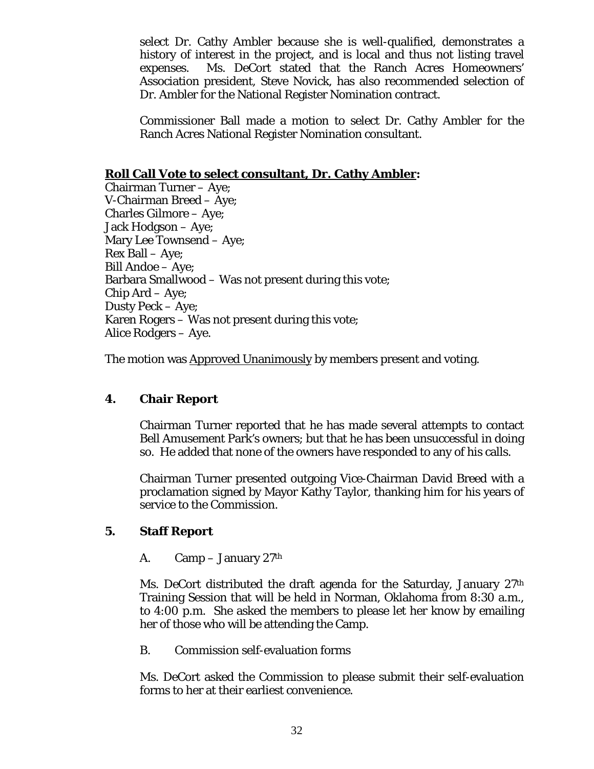select Dr. Cathy Ambler because she is well-qualified, demonstrates a history of interest in the project, and is local and thus not listing travel expenses. Ms. DeCort stated that the Ranch Acres Homeowners' Association president, Steve Novick, has also recommended selection of Dr. Ambler for the National Register Nomination contract.

Commissioner Ball made a motion to select Dr. Cathy Ambler for the Ranch Acres National Register Nomination consultant.

# **Roll Call Vote to select consultant, Dr. Cathy Ambler:**

Chairman Turner – Aye; V-Chairman Breed – Aye; Charles Gilmore – Aye; Jack Hodgson – Aye; Mary Lee Townsend – Aye; Rex Ball – Aye; Bill Andoe – Aye; Barbara Smallwood – Was not present during this vote; Chip Ard – Aye; Dusty Peck – Aye; Karen Rogers – Was not present during this vote; Alice Rodgers – Aye.

The motion was **Approved Unanimously** by members present and voting.

# **4. Chair Report**

Chairman Turner reported that he has made several attempts to contact Bell Amusement Park's owners; but that he has been unsuccessful in doing so. He added that none of the owners have responded to any of his calls.

Chairman Turner presented outgoing Vice-Chairman David Breed with a proclamation signed by Mayor Kathy Taylor, thanking him for his years of service to the Commission.

# **5. Staff Report**

# A.  $\mathrm{Camp} - \mathrm{January} 27^{\mathrm{th}}$

Ms. DeCort distributed the draft agenda for the Saturday, January 27th Training Session that will be held in Norman, Oklahoma from 8:30 a.m., to 4:00 p.m. She asked the members to please let her know by emailing her of those who will be attending the Camp.

B. Commission self-evaluation forms

Ms. DeCort asked the Commission to please submit their self-evaluation forms to her at their earliest convenience.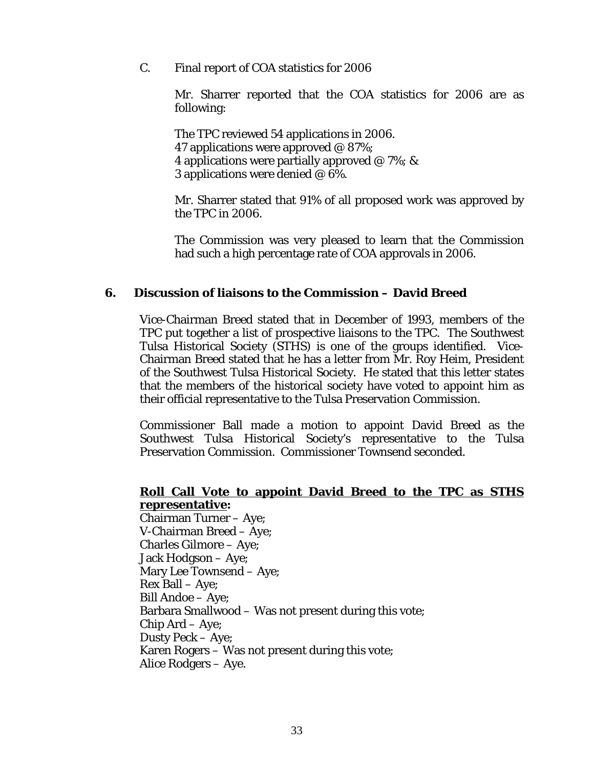C. Final report of COA statistics for 2006

Mr. Sharrer reported that the COA statistics for 2006 are as following:

 The TPC reviewed 54 applications in 2006. 47 applications were approved  $\omega$  87%; 4 applications were partially approved  $\omega$  7%; & 3 applications were denied @ 6%.

Mr. Sharrer stated that 91% of all proposed work was approved by the TPC in 2006.

The Commission was very pleased to learn that the Commission had such a high percentage rate of COA approvals in 2006.

## **6. Discussion of liaisons to the Commission – David Breed**

Vice-Chairman Breed stated that in December of 1993, members of the TPC put together a list of prospective liaisons to the TPC. The Southwest Tulsa Historical Society (STHS) is one of the groups identified. Vice-Chairman Breed stated that he has a letter from Mr. Roy Heim, President of the Southwest Tulsa Historical Society. He stated that this letter states that the members of the historical society have voted to appoint him as their official representative to the Tulsa Preservation Commission.

Commissioner Ball made a motion to appoint David Breed as the Southwest Tulsa Historical Society's representative to the Tulsa Preservation Commission. Commissioner Townsend seconded.

#### **Roll Call Vote to appoint David Breed to the TPC as STHS representative:**

Chairman Turner – Aye; V-Chairman Breed – Aye; Charles Gilmore – Aye; Jack Hodgson – Aye; Mary Lee Townsend – Aye; Rex Ball – Aye; Bill Andoe – Aye; Barbara Smallwood – Was not present during this vote; Chip Ard – Aye; Dusty Peck – Aye; Karen Rogers – Was not present during this vote; Alice Rodgers – Aye.